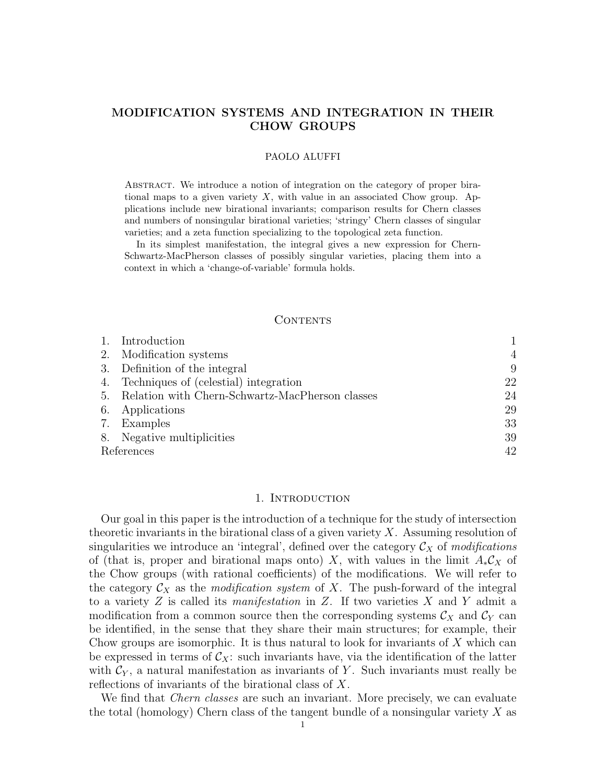# MODIFICATION SYSTEMS AND INTEGRATION IN THEIR CHOW GROUPS

#### PAOLO ALUFFI

Abstract. We introduce a notion of integration on the category of proper birational maps to a given variety  $X$ , with value in an associated Chow group. Applications include new birational invariants; comparison results for Chern classes and numbers of nonsingular birational varieties; 'stringy' Chern classes of singular varieties; and a zeta function specializing to the topological zeta function.

In its simplest manifestation, the integral gives a new expression for Chern-Schwartz-MacPherson classes of possibly singular varieties, placing them into a context in which a 'change-of-variable' formula holds.

# CONTENTS

|            | 1. Introduction                                    |                |
|------------|----------------------------------------------------|----------------|
|            | 2. Modification systems                            | $\overline{4}$ |
|            | 3. Definition of the integral                      | 9              |
|            | 4. Techniques of (celestial) integration           | 22             |
|            | 5. Relation with Chern-Schwartz-MacPherson classes | 24             |
|            | 6. Applications                                    | 29             |
|            | 7. Examples                                        | 33             |
|            | 8. Negative multiplicities                         | 39             |
| References |                                                    | 42             |

#### 1. INTRODUCTION

Our goal in this paper is the introduction of a technique for the study of intersection theoretic invariants in the birational class of a given variety  $X$ . Assuming resolution of singularities we introduce an 'integral', defined over the category  $\mathcal{C}_X$  of modifications of (that is, proper and birational maps onto) X, with values in the limit  $A_*\mathcal{C}_X$  of the Chow groups (with rational coefficients) of the modifications. We will refer to the category  $\mathcal{C}_X$  as the *modification system* of X. The push-forward of the integral to a variety  $Z$  is called its *manifestation* in  $Z$ . If two varieties  $X$  and  $Y$  admit a modification from a common source then the corresponding systems  $\mathcal{C}_X$  and  $\mathcal{C}_Y$  can be identified, in the sense that they share their main structures; for example, their Chow groups are isomorphic. It is thus natural to look for invariants of  $X$  which can be expressed in terms of  $\mathcal{C}_X$ : such invariants have, via the identification of the latter with  $\mathcal{C}_Y$ , a natural manifestation as invariants of Y. Such invariants must really be reflections of invariants of the birational class of X.

We find that *Chern classes* are such an invariant. More precisely, we can evaluate the total (homology) Chern class of the tangent bundle of a nonsingular variety  $X$  as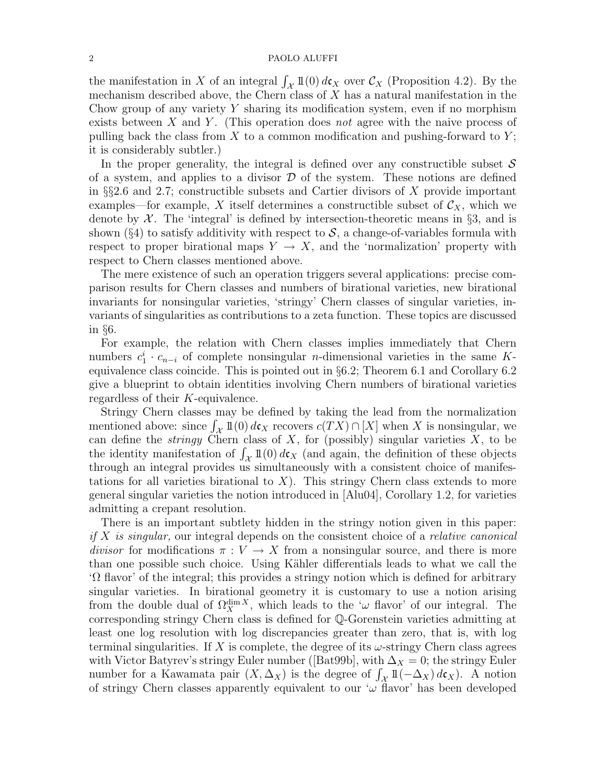the manifestation in X of an integral  $\int_{\mathcal{X}} 1\mathbb{1}(0) d\mathfrak{c}_X$  over  $\mathcal{C}_X$  (Proposition 4.2). By the mechanism described above, the Chern class of  $X$  has a natural manifestation in the Chow group of any variety  $Y$  sharing its modification system, even if no morphism exists between X and Y. (This operation does not agree with the naive process of pulling back the class from X to a common modification and pushing-forward to  $Y$ ; it is considerably subtler.)

In the proper generality, the integral is defined over any constructible subset  $\mathcal S$ of a system, and applies to a divisor  $\mathcal D$  of the system. These notions are defined in §§2.6 and 2.7; constructible subsets and Cartier divisors of  $X$  provide important examples—for example, X itself determines a constructible subset of  $\mathcal{C}_X$ , which we denote by  $\mathcal{X}$ . The 'integral' is defined by intersection-theoretic means in §3, and is shown (§4) to satisfy additivity with respect to  $S$ , a change-of-variables formula with respect to proper birational maps  $Y \to X$ , and the 'normalization' property with respect to Chern classes mentioned above.

The mere existence of such an operation triggers several applications: precise comparison results for Chern classes and numbers of birational varieties, new birational invariants for nonsingular varieties, 'stringy' Chern classes of singular varieties, invariants of singularities as contributions to a zeta function. These topics are discussed in §6.

For example, the relation with Chern classes implies immediately that Chern numbers  $c_1^i \cdot c_{n-i}$  of complete nonsingular *n*-dimensional varieties in the same Kequivalence class coincide. This is pointed out in §6.2; Theorem 6.1 and Corollary 6.2 give a blueprint to obtain identities involving Chern numbers of birational varieties regardless of their K-equivalence.

Stringy Chern classes may be defined by taking the lead from the normalization mentioned above: since  $\int_{\mathcal{X}} 1\mathbb{I}(0) d\mathfrak{c}_X$  recovers  $c(TX) \cap [X]$  when X is nonsingular, we can define the *stringy* Chern class of  $X$ , for (possibly) singular varieties  $X$ , to be the identity manifestation of  $\int_{\mathcal{X}} 1\mathbb{1}(0) d\mathbf{c}_X$  (and again, the definition of these objects through an integral provides us simultaneously with a consistent choice of manifestations for all varieties birational to  $X$ ). This stringy Chern class extends to more general singular varieties the notion introduced in [Alu04], Corollary 1.2, for varieties admitting a crepant resolution.

There is an important subtlety hidden in the stringy notion given in this paper: if X is singular, our integral depends on the consistent choice of a *relative canonical* divisor for modifications  $\pi : V \to X$  from a nonsingular source, and there is more than one possible such choice. Using Kähler differentials leads to what we call the 'Ω flavor' of the integral; this provides a stringy notion which is defined for arbitrary singular varieties. In birational geometry it is customary to use a notion arising from the double dual of  $\Omega_X^{\dim X}$ , which leads to the ' $\omega$  flavor' of our integral. The corresponding stringy Chern class is defined for Q-Gorenstein varieties admitting at least one log resolution with log discrepancies greater than zero, that is, with log terminal singularities. If X is complete, the degree of its  $\omega$ -stringy Chern class agrees with Victor Batyrev's stringy Euler number ([Bat99b], with  $\Delta_X = 0$ ; the stringy Euler number for a Kawamata pair  $(X, \Delta_X)$  is the degree of  $\int_{\mathcal{X}} 1\mathbb{I}(-\Delta_X) d\mathfrak{c}_X$ . A notion of stringy Chern classes apparently equivalent to our ' $\omega$  flavor' has been developed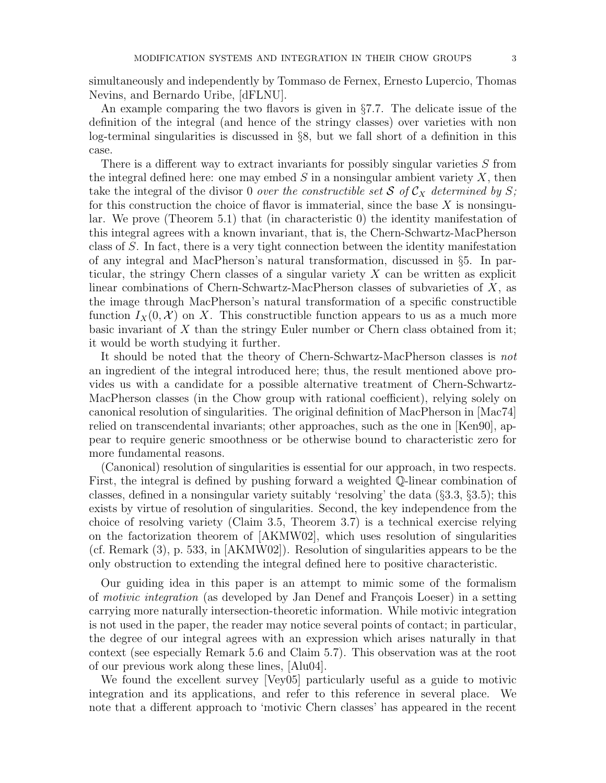simultaneously and independently by Tommaso de Fernex, Ernesto Lupercio, Thomas Nevins, and Bernardo Uribe, [dFLNU].

An example comparing the two flavors is given in §7.7. The delicate issue of the definition of the integral (and hence of the stringy classes) over varieties with non log-terminal singularities is discussed in §8, but we fall short of a definition in this case.

There is a different way to extract invariants for possibly singular varieties S from the integral defined here: one may embed  $S$  in a nonsingular ambient variety  $X$ , then take the integral of the divisor 0 over the constructible set S of  $\mathcal{C}_X$  determined by S; for this construction the choice of flavor is immaterial, since the base  $X$  is nonsingular. We prove (Theorem 5.1) that (in characteristic 0) the identity manifestation of this integral agrees with a known invariant, that is, the Chern-Schwartz-MacPherson class of S. In fact, there is a very tight connection between the identity manifestation of any integral and MacPherson's natural transformation, discussed in §5. In particular, the stringy Chern classes of a singular variety  $X$  can be written as explicit linear combinations of Chern-Schwartz-MacPherson classes of subvarieties of X, as the image through MacPherson's natural transformation of a specific constructible function  $I_X(0, \mathcal{X})$  on X. This constructible function appears to us as a much more basic invariant of  $X$  than the stringy Euler number or Chern class obtained from it; it would be worth studying it further.

It should be noted that the theory of Chern-Schwartz-MacPherson classes is not an ingredient of the integral introduced here; thus, the result mentioned above provides us with a candidate for a possible alternative treatment of Chern-Schwartz-MacPherson classes (in the Chow group with rational coefficient), relying solely on canonical resolution of singularities. The original definition of MacPherson in [Mac74] relied on transcendental invariants; other approaches, such as the one in [Ken90], appear to require generic smoothness or be otherwise bound to characteristic zero for more fundamental reasons.

(Canonical) resolution of singularities is essential for our approach, in two respects. First, the integral is defined by pushing forward a weighted Q-linear combination of classes, defined in a nonsingular variety suitably 'resolving' the data (§3.3, §3.5); this exists by virtue of resolution of singularities. Second, the key independence from the choice of resolving variety (Claim 3.5, Theorem 3.7) is a technical exercise relying on the factorization theorem of [AKMW02], which uses resolution of singularities (cf. Remark (3), p. 533, in [AKMW02]). Resolution of singularities appears to be the only obstruction to extending the integral defined here to positive characteristic.

Our guiding idea in this paper is an attempt to mimic some of the formalism of *motivic integration* (as developed by Jan Denef and François Loeser) in a setting carrying more naturally intersection-theoretic information. While motivic integration is not used in the paper, the reader may notice several points of contact; in particular, the degree of our integral agrees with an expression which arises naturally in that context (see especially Remark 5.6 and Claim 5.7). This observation was at the root of our previous work along these lines, [Alu04].

We found the excellent survey [Vey05] particularly useful as a guide to motivic integration and its applications, and refer to this reference in several place. We note that a different approach to 'motivic Chern classes' has appeared in the recent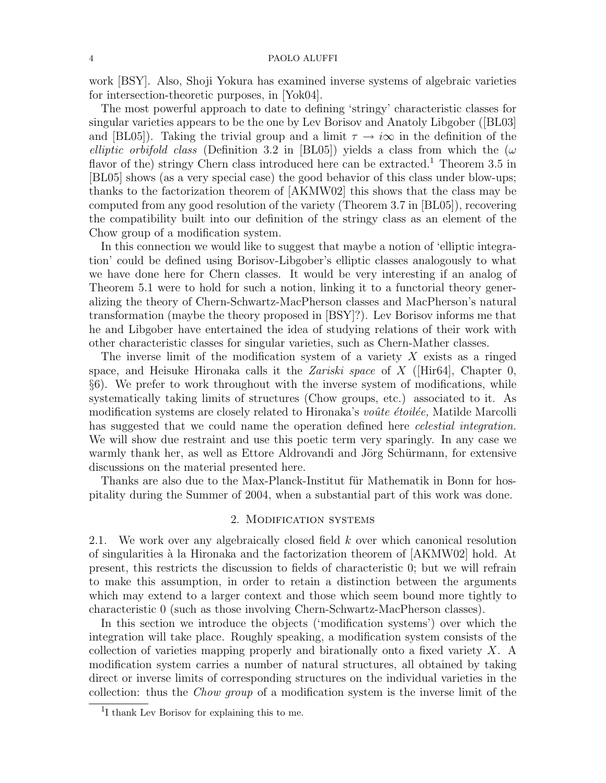work [BSY]. Also, Shoji Yokura has examined inverse systems of algebraic varieties for intersection-theoretic purposes, in [Yok04].

The most powerful approach to date to defining 'stringy' characteristic classes for singular varieties appears to be the one by Lev Borisov and Anatoly Libgober ([BL03] and [BL05]). Taking the trivial group and a limit  $\tau \to i\infty$  in the definition of the elliptic orbifold class (Definition 3.2 in [BL05]) yields a class from which the  $(\omega$ flavor of the) stringy Chern class introduced here can be extracted.<sup>1</sup> Theorem 3.5 in [BL05] shows (as a very special case) the good behavior of this class under blow-ups; thanks to the factorization theorem of [AKMW02] this shows that the class may be computed from any good resolution of the variety (Theorem 3.7 in [BL05]), recovering the compatibility built into our definition of the stringy class as an element of the Chow group of a modification system.

In this connection we would like to suggest that maybe a notion of 'elliptic integration' could be defined using Borisov-Libgober's elliptic classes analogously to what we have done here for Chern classes. It would be very interesting if an analog of Theorem 5.1 were to hold for such a notion, linking it to a functorial theory generalizing the theory of Chern-Schwartz-MacPherson classes and MacPherson's natural transformation (maybe the theory proposed in [BSY]?). Lev Borisov informs me that he and Libgober have entertained the idea of studying relations of their work with other characteristic classes for singular varieties, such as Chern-Mather classes.

The inverse limit of the modification system of a variety  $X$  exists as a ringed space, and Heisuke Hironaka calls it the *Zariski space* of X (Hir64), Chapter 0, §6). We prefer to work throughout with the inverse system of modifications, while systematically taking limits of structures (Chow groups, etc.) associated to it. As modification systems are closely related to Hironaka's *voûte étoilée*, Matilde Marcolli has suggested that we could name the operation defined here *celestial integration*. We will show due restraint and use this poetic term very sparingly. In any case we warmly thank her, as well as Ettore Aldrovandi and Jörg Schürmann, for extensive discussions on the material presented here.

Thanks are also due to the Max-Planck-Institut für Mathematik in Bonn for hospitality during the Summer of 2004, when a substantial part of this work was done.

# 2. Modification systems

2.1. We work over any algebraically closed field k over which canonical resolution of singularities `a la Hironaka and the factorization theorem of [AKMW02] hold. At present, this restricts the discussion to fields of characteristic 0; but we will refrain to make this assumption, in order to retain a distinction between the arguments which may extend to a larger context and those which seem bound more tightly to characteristic 0 (such as those involving Chern-Schwartz-MacPherson classes).

In this section we introduce the objects ('modification systems') over which the integration will take place. Roughly speaking, a modification system consists of the collection of varieties mapping properly and birationally onto a fixed variety X. A modification system carries a number of natural structures, all obtained by taking direct or inverse limits of corresponding structures on the individual varieties in the collection: thus the Chow group of a modification system is the inverse limit of the

<sup>&</sup>lt;sup>1</sup>I thank Lev Borisov for explaining this to me.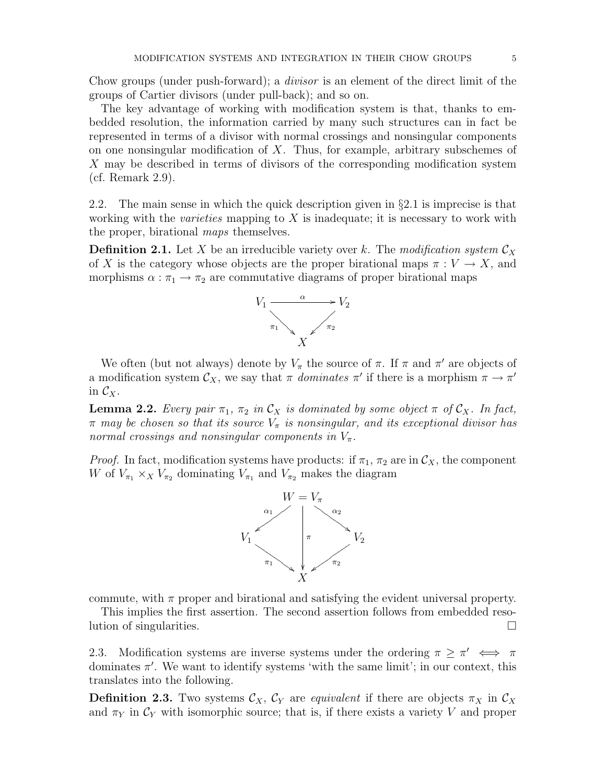Chow groups (under push-forward); a divisor is an element of the direct limit of the groups of Cartier divisors (under pull-back); and so on.

The key advantage of working with modification system is that, thanks to embedded resolution, the information carried by many such structures can in fact be represented in terms of a divisor with normal crossings and nonsingular components on one nonsingular modification of  $X$ . Thus, for example, arbitrary subschemes of X may be described in terms of divisors of the corresponding modification system (cf. Remark 2.9).

2.2. The main sense in which the quick description given in  $\S 2.1$  is imprecise is that working with the *varieties* mapping to  $X$  is inadequate; it is necessary to work with the proper, birational maps themselves.

**Definition 2.1.** Let X be an irreducible variety over k. The modification system  $\mathcal{C}_X$ of X is the category whose objects are the proper birational maps  $\pi: V \to X$ , and morphisms  $\alpha : \pi_1 \to \pi_2$  are commutative diagrams of proper birational maps



We often (but not always) denote by  $V_{\pi}$  the source of  $\pi$ . If  $\pi$  and  $\pi'$  are objects of a modification system  $\mathcal{C}_X$ , we say that  $\pi$  dominates  $\pi'$  if there is a morphism  $\pi \to \pi'$ in  $\mathcal{C}_X$ .

**Lemma 2.2.** Every pair  $\pi_1$ ,  $\pi_2$  in  $\mathcal{C}_X$  is dominated by some object  $\pi$  of  $\mathcal{C}_X$ . In fact,  $\pi$  may be chosen so that its source  $V_{\pi}$  is nonsingular, and its exceptional divisor has normal crossings and nonsingular components in  $V_{\pi}$ .

*Proof.* In fact, modification systems have products: if  $\pi_1$ ,  $\pi_2$  are in  $\mathcal{C}_X$ , the component W of  $V_{\pi_1} \times_X V_{\pi_2}$  dominating  $V_{\pi_1}$  and  $V_{\pi_2}$  makes the diagram



commute, with  $\pi$  proper and birational and satisfying the evident universal property.

This implies the first assertion. The second assertion follows from embedded resolution of singularities.

2.3. Modification systems are inverse systems under the ordering  $\pi \geq \pi' \iff \pi$ dominates  $\pi'$ . We want to identify systems 'with the same limit'; in our context, this translates into the following.

**Definition 2.3.** Two systems  $\mathcal{C}_X$ ,  $\mathcal{C}_Y$  are *equivalent* if there are objects  $\pi_X$  in  $\mathcal{C}_X$ and  $\pi_Y$  in  $\mathcal{C}_Y$  with isomorphic source; that is, if there exists a variety V and proper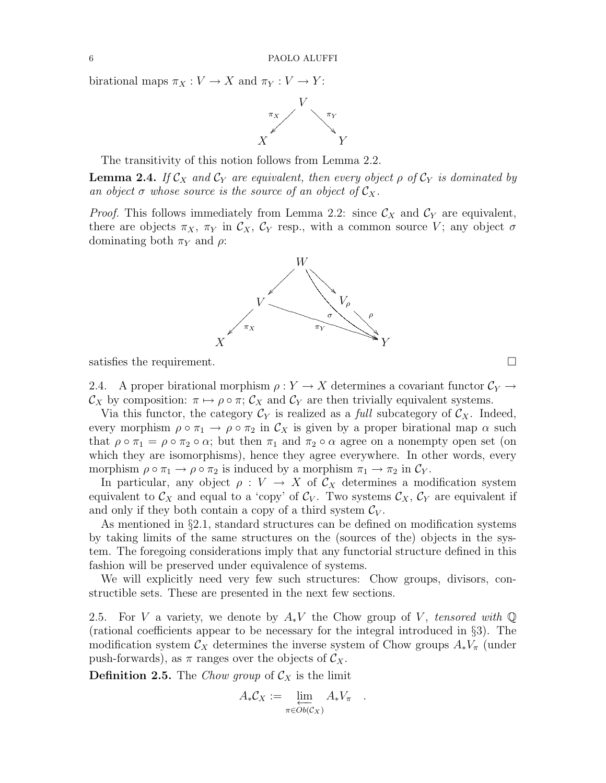birational maps  $\pi_X : V \to X$  and  $\pi_Y : V \to Y$ :



The transitivity of this notion follows from Lemma 2.2.

**Lemma 2.4.** If  $\mathcal{C}_X$  and  $\mathcal{C}_Y$  are equivalent, then every object  $\rho$  of  $\mathcal{C}_Y$  is dominated by an object  $\sigma$  whose source is the source of an object of  $\mathcal{C}_X$ .

*Proof.* This follows immediately from Lemma 2.2: since  $\mathcal{C}_X$  and  $\mathcal{C}_Y$  are equivalent, there are objects  $\pi_X$ ,  $\pi_Y$  in  $\mathcal{C}_X$ ,  $\mathcal{C}_Y$  resp., with a common source V; any object  $\sigma$ dominating both  $\pi_Y$  and  $\rho$ :



satisfies the requirement.  $\Box$ 

2.4. A proper birational morphism  $\rho: Y \to X$  determines a covariant functor  $C_Y \to Y$  $\mathcal{C}_X$  by composition:  $\pi \mapsto \rho \circ \pi$ ;  $\mathcal{C}_X$  and  $\mathcal{C}_Y$  are then trivially equivalent systems.

Via this functor, the category  $\mathcal{C}_Y$  is realized as a *full* subcategory of  $\mathcal{C}_X$ . Indeed, every morphism  $\rho \circ \pi_1 \to \rho \circ \pi_2$  in  $\mathcal{C}_X$  is given by a proper birational map  $\alpha$  such that  $\rho \circ \pi_1 = \rho \circ \pi_2 \circ \alpha$ ; but then  $\pi_1$  and  $\pi_2 \circ \alpha$  agree on a nonempty open set (on which they are isomorphisms), hence they agree everywhere. In other words, every morphism  $\rho \circ \pi_1 \to \rho \circ \pi_2$  is induced by a morphism  $\pi_1 \to \pi_2$  in  $\mathcal{C}_Y$ .

In particular, any object  $\rho: V \to X$  of  $\mathcal{C}_X$  determines a modification system equivalent to  $\mathcal{C}_X$  and equal to a 'copy' of  $\mathcal{C}_V$ . Two systems  $\mathcal{C}_X$ ,  $\mathcal{C}_Y$  are equivalent if and only if they both contain a copy of a third system  $\mathcal{C}_V$ .

As mentioned in §2.1, standard structures can be defined on modification systems by taking limits of the same structures on the (sources of the) objects in the system. The foregoing considerations imply that any functorial structure defined in this fashion will be preserved under equivalence of systems.

We will explicitly need very few such structures: Chow groups, divisors, constructible sets. These are presented in the next few sections.

2.5. For V a variety, we denote by  $A_*V$  the Chow group of V, tensored with  $\mathbb Q$ (rational coefficients appear to be necessary for the integral introduced in §3). The modification system  $\mathcal{C}_X$  determines the inverse system of Chow groups  $A_*V_\pi$  (under push-forwards), as  $\pi$  ranges over the objects of  $\mathcal{C}_X$ .

**Definition 2.5.** The Chow group of  $\mathcal{C}_X$  is the limit

$$
A_*\mathcal{C}_X := \varprojlim_{\pi \in Ob(\mathcal{C}_X)} A_*V_\pi \quad .
$$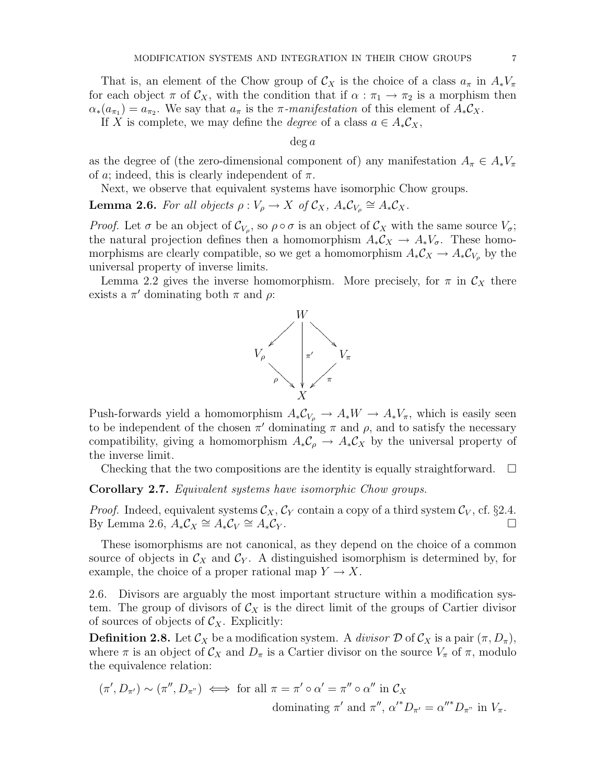That is, an element of the Chow group of  $\mathcal{C}_X$  is the choice of a class  $a_\pi$  in  $A_*V_\pi$ for each object  $\pi$  of  $\mathcal{C}_X$ , with the condition that if  $\alpha : \pi_1 \to \pi_2$  is a morphism then  $\alpha_*(a_{\pi_1}) = a_{\pi_2}$ . We say that  $a_{\pi}$  is the  $\pi$ -manifestation of this element of  $A_*\mathcal{C}_X$ .

If X is complete, we may define the *degree* of a class  $a \in A_* \mathcal{C}_X$ ,

 $\deg a$ 

as the degree of (the zero-dimensional component of) any manifestation  $A_{\pi} \in A_* V_{\pi}$ of a; indeed, this is clearly independent of  $\pi$ .

Next, we observe that equivalent systems have isomorphic Chow groups.

**Lemma 2.6.** For all objects  $\rho: V_{\rho} \to X$  of  $\mathcal{C}_X$ ,  $A_*\mathcal{C}_{V_{\rho}} \cong A_*\mathcal{C}_X$ .

Proof. Let  $\sigma$  be an object of  $\mathcal{C}_{V_{\rho}}$ , so  $\rho \circ \sigma$  is an object of  $\mathcal{C}_X$  with the same source  $V_{\sigma}$ ; the natural projection defines then a homomorphism  $A_*\mathcal{C}_X \to A_*V_{\sigma}$ . These homomorphisms are clearly compatible, so we get a homomorphism  $A_*\mathcal{C}_X \to A_*\mathcal{C}_{V_\rho}$  by the universal property of inverse limits.

Lemma 2.2 gives the inverse homomorphism. More precisely, for  $\pi$  in  $\mathcal{C}_X$  there exists a  $\pi'$  dominating both  $\pi$  and  $\rho$ :



Push-forwards yield a homomorphism  $A_*\mathcal{C}_{V_o} \to A_*W \to A_*V_\pi$ , which is easily seen to be independent of the chosen  $\pi'$  dominating  $\pi$  and  $\rho$ , and to satisfy the necessary compatibility, giving a homomorphism  $A_*C_\rho \to A_*C_X$  by the universal property of the inverse limit.

Checking that the two compositions are the identity is equally straightforward.  $\Box$ 

Corollary 2.7. Equivalent systems have isomorphic Chow groups.

*Proof.* Indeed, equivalent systems  $\mathcal{C}_X$ ,  $\mathcal{C}_Y$  contain a copy of a third system  $\mathcal{C}_V$ , cf. §2.4. By Lemma 2.6,  $A_* C_X \cong A_* C_V$  $\cong A_*C_Y$ .  $\Box$ <br> $\cong A_*C_Y$ .  $\Box$ 

These isomorphisms are not canonical, as they depend on the choice of a common source of objects in  $\mathcal{C}_X$  and  $\mathcal{C}_Y$ . A distinguished isomorphism is determined by, for example, the choice of a proper rational map  $Y \to X$ .

2.6. Divisors are arguably the most important structure within a modification system. The group of divisors of  $\mathcal{C}_X$  is the direct limit of the groups of Cartier divisor of sources of objects of  $\mathcal{C}_X$ . Explicitly:

**Definition 2.8.** Let  $\mathcal{C}_X$  be a modification system. A *divisor*  $\mathcal{D}$  of  $\mathcal{C}_X$  is a pair  $(\pi, D_\pi)$ , where  $\pi$  is an object of  $\mathcal{C}_X$  and  $D_{\pi}$  is a Cartier divisor on the source  $V_{\pi}$  of  $\pi$ , modulo the equivalence relation:

$$
(\pi', D_{\pi'}) \sim (\pi'', D_{\pi'}) \iff \text{for all } \pi = \pi' \circ \alpha' = \pi'' \circ \alpha'' \text{ in } C_X
$$
  
dominating  $\pi'$  and  $\pi'', \alpha'^* D_{\pi'} = \alpha''^* D_{\pi''}$  in  $V_{\pi}$ .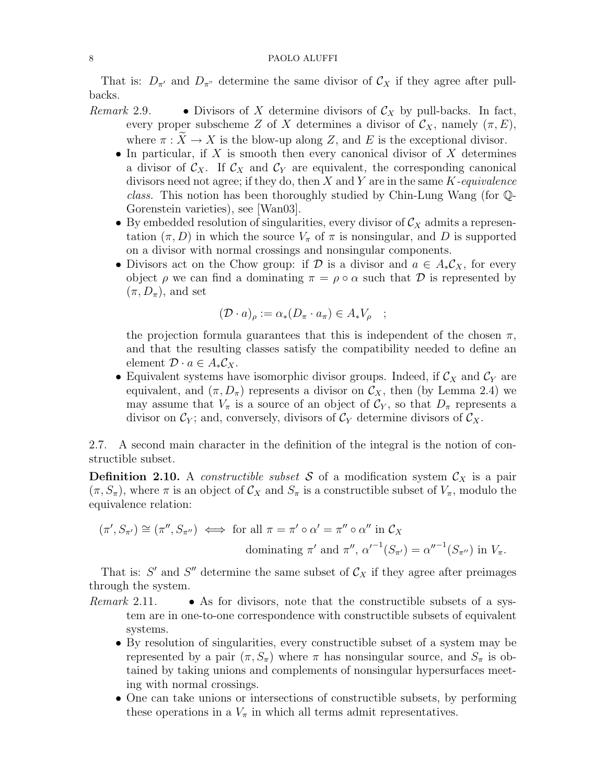That is:  $D_{\pi}$  and  $D_{\pi}$  determine the same divisor of  $\mathcal{C}_X$  if they agree after pullbacks.

- Remark 2.9. Divisors of X determine divisors of  $\mathcal{C}_X$  by pull-backs. In fact, every proper subscheme Z of X determines a divisor of  $\mathcal{C}_X$ , namely  $(\pi, E)$ , where  $\pi : X \to X$  is the blow-up along Z, and E is the exceptional divisor.
	- In particular, if  $X$  is smooth then every canonical divisor of  $X$  determines a divisor of  $\mathcal{C}_X$ . If  $\mathcal{C}_X$  and  $\mathcal{C}_Y$  are equivalent, the corresponding canonical divisors need not agree; if they do, then  $X$  and  $Y$  are in the same  $K$ -equivalence class. This notion has been thoroughly studied by Chin-Lung Wang (for Q-Gorenstein varieties), see [Wan03].
	- By embedded resolution of singularities, every divisor of  $\mathcal{C}_X$  admits a representation  $(\pi, D)$  in which the source  $V_\pi$  of  $\pi$  is nonsingular, and D is supported on a divisor with normal crossings and nonsingular components.
	- Divisors act on the Chow group: if D is a divisor and  $a \in A_*\mathcal{C}_X$ , for every object  $\rho$  we can find a dominating  $\pi = \rho \circ \alpha$  such that  $\mathcal D$  is represented by  $(\pi, D_{\pi})$ , and set

$$
(\mathcal{D} \cdot a)_{\rho} := \alpha_*(D_{\pi} \cdot a_{\pi}) \in A_* V_{\rho} \quad ;
$$

the projection formula guarantees that this is independent of the chosen  $\pi$ , and that the resulting classes satisfy the compatibility needed to define an element  $\mathcal{D} \cdot a \in A_* \mathcal{C}_X$ .

• Equivalent systems have isomorphic divisor groups. Indeed, if  $\mathcal{C}_X$  and  $\mathcal{C}_Y$  are equivalent, and  $(\pi, D_{\pi})$  represents a divisor on  $\mathcal{C}_X$ , then (by Lemma 2.4) we may assume that  $V_{\pi}$  is a source of an object of  $\mathcal{C}_Y$ , so that  $D_{\pi}$  represents a divisor on  $\mathcal{C}_Y$ ; and, conversely, divisors of  $\mathcal{C}_Y$  determine divisors of  $\mathcal{C}_X$ .

2.7. A second main character in the definition of the integral is the notion of constructible subset.

**Definition 2.10.** A *constructible subset* S of a modification system  $\mathcal{C}_X$  is a pair  $(\pi, S_{\pi})$ , where  $\pi$  is an object of  $\mathcal{C}_X$  and  $S_{\pi}$  is a constructible subset of  $V_{\pi}$ , modulo the equivalence relation:

$$
(\pi', S_{\pi'}) \cong (\pi'', S_{\pi''}) \iff \text{for all } \pi = \pi' \circ \alpha' = \pi'' \circ \alpha'' \text{ in } \mathcal{C}_X
$$
  
dominating  $\pi'$  and  $\pi'', \alpha'^{-1}(S_{\pi'}) = \alpha''^{-1}(S_{\pi''}) \text{ in } V_{\pi}$ .

That is:  $S'$  and  $S''$  determine the same subset of  $\mathcal{C}_X$  if they agree after preimages through the system.

- *Remark* 2.11. As for divisors, note that the constructible subsets of a system are in one-to-one correspondence with constructible subsets of equivalent systems.
	- By resolution of singularities, every constructible subset of a system may be represented by a pair  $(\pi, S_\pi)$  where  $\pi$  has nonsingular source, and  $S_\pi$  is obtained by taking unions and complements of nonsingular hypersurfaces meeting with normal crossings.
	- One can take unions or intersections of constructible subsets, by performing these operations in a  $V_{\pi}$  in which all terms admit representatives.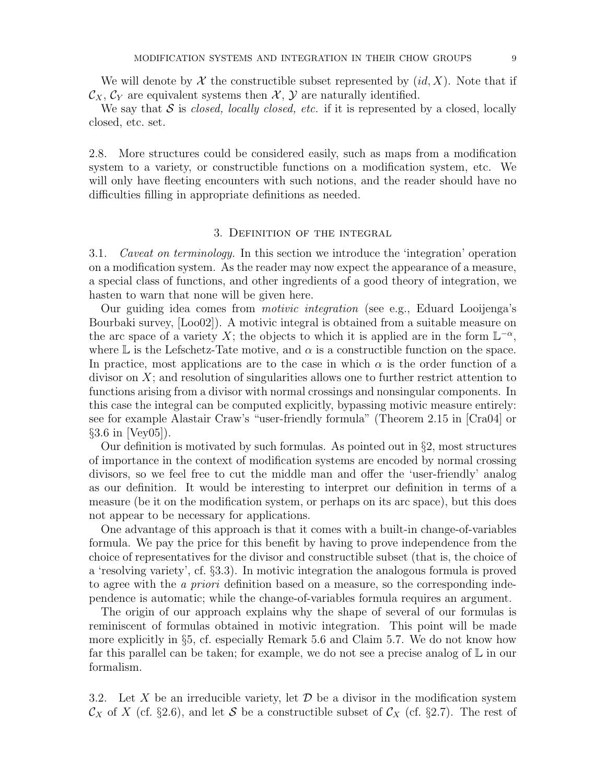We will denote by  $\mathcal X$  the constructible subset represented by  $(id, X)$ . Note that if  $\mathcal{C}_X, \mathcal{C}_Y$  are equivalent systems then  $\mathcal{X}, \mathcal{Y}$  are naturally identified.

We say that  $S$  is *closed, locally closed, etc.* if it is represented by a closed, locally closed, etc. set.

2.8. More structures could be considered easily, such as maps from a modification system to a variety, or constructible functions on a modification system, etc. We will only have fleeting encounters with such notions, and the reader should have no difficulties filling in appropriate definitions as needed.

# 3. Definition of the integral

3.1. Caveat on terminology. In this section we introduce the 'integration' operation on a modification system. As the reader may now expect the appearance of a measure, a special class of functions, and other ingredients of a good theory of integration, we hasten to warn that none will be given here.

Our guiding idea comes from motivic integration (see e.g., Eduard Looijenga's Bourbaki survey, [Loo02]). A motivic integral is obtained from a suitable measure on the arc space of a variety X; the objects to which it is applied are in the form  $\mathbb{L}^{-\alpha}$ , where  $\mathbb L$  is the Lefschetz-Tate motive, and  $\alpha$  is a constructible function on the space. In practice, most applications are to the case in which  $\alpha$  is the order function of a divisor on  $X$ ; and resolution of singularities allows one to further restrict attention to functions arising from a divisor with normal crossings and nonsingular components. In this case the integral can be computed explicitly, bypassing motivic measure entirely: see for example Alastair Craw's "user-friendly formula" (Theorem 2.15 in [Cra04] or  $\S 3.6$  in [Vey $05$ ].

Our definition is motivated by such formulas. As pointed out in  $\S$ 2, most structures of importance in the context of modification systems are encoded by normal crossing divisors, so we feel free to cut the middle man and offer the 'user-friendly' analog as our definition. It would be interesting to interpret our definition in terms of a measure (be it on the modification system, or perhaps on its arc space), but this does not appear to be necessary for applications.

One advantage of this approach is that it comes with a built-in change-of-variables formula. We pay the price for this benefit by having to prove independence from the choice of representatives for the divisor and constructible subset (that is, the choice of a 'resolving variety', cf. §3.3). In motivic integration the analogous formula is proved to agree with the *a priori* definition based on a measure, so the corresponding independence is automatic; while the change-of-variables formula requires an argument.

The origin of our approach explains why the shape of several of our formulas is reminiscent of formulas obtained in motivic integration. This point will be made more explicitly in §5, cf. especially Remark 5.6 and Claim 5.7. We do not know how far this parallel can be taken; for example, we do not see a precise analog of  $\mathbb L$  in our formalism.

3.2. Let X be an irreducible variety, let  $\mathcal D$  be a divisor in the modification system  $\mathcal{C}_X$  of X (cf. §2.6), and let S be a constructible subset of  $\mathcal{C}_X$  (cf. §2.7). The rest of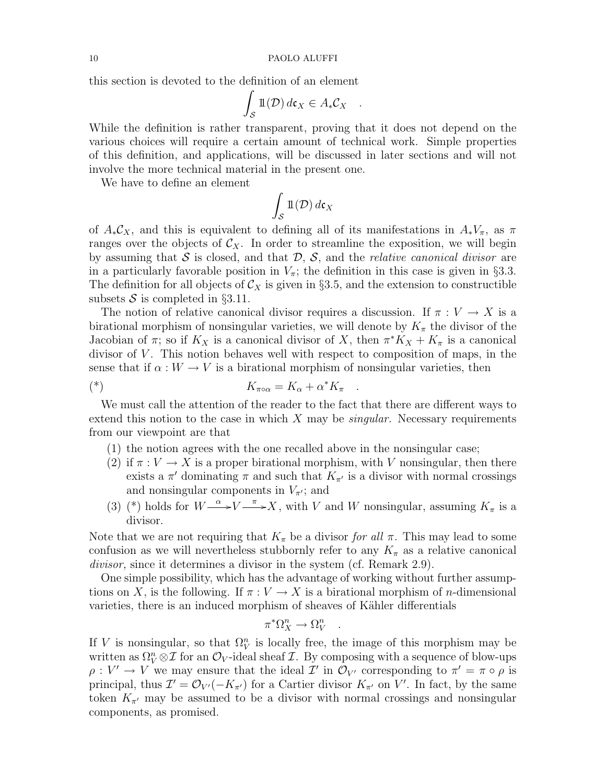this section is devoted to the definition of an element

$$
\int_{\mathcal{S}} \mathbb{1}(\mathcal{D}) d\mathfrak{c}_X \in A_* \mathcal{C}_X \quad .
$$

While the definition is rather transparent, proving that it does not depend on the various choices will require a certain amount of technical work. Simple properties of this definition, and applications, will be discussed in later sections and will not involve the more technical material in the present one.

We have to define an element

$$
\int_{\mathcal{S}} \mathbb{1}(\mathcal{D}) \, d\mathfrak{c}_X
$$

of  $A_*\mathcal{C}_X$ , and this is equivalent to defining all of its manifestations in  $A_*V_\pi$ , as  $\pi$ ranges over the objects of  $\mathcal{C}_X$ . In order to streamline the exposition, we will begin by assuming that  $S$  is closed, and that  $D$ ,  $S$ , and the *relative canonical divisor* are in a particularly favorable position in  $V_\pi$ ; the definition in this case is given in §3.3. The definition for all objects of  $\mathcal{C}_X$  is given in §3.5, and the extension to constructible subsets S is completed in  $\S 3.11$ .

The notion of relative canonical divisor requires a discussion. If  $\pi: V \to X$  is a birational morphism of nonsingular varieties, we will denote by  $K_{\pi}$  the divisor of the Jacobian of  $\pi$ ; so if  $K_X$  is a canonical divisor of X, then  $\pi^*K_X + K_{\pi}$  is a canonical divisor of  $V$ . This notion behaves well with respect to composition of maps, in the sense that if  $\alpha: W \to V$  is a birational morphism of nonsingular varieties, then

$$
K_{\pi \circ \alpha} = K_{\alpha} + \alpha^* K_{\pi} .
$$

We must call the attention of the reader to the fact that there are different ways to extend this notion to the case in which  $X$  may be *singular*. Necessary requirements from our viewpoint are that

- (1) the notion agrees with the one recalled above in the nonsingular case;
- (2) if  $\pi: V \to X$  is a proper birational morphism, with V nonsingular, then there exists a  $\pi'$  dominating  $\pi$  and such that  $K_{\pi'}$  is a divisor with normal crossings and nonsingular components in  $V_{\pi}$ ; and
- (3) (\*) holds for  $W \xrightarrow{\alpha} V \xrightarrow{\pi} X$ , with V and W nonsingular, assuming  $K_{\pi}$  is a divisor.

Note that we are not requiring that  $K_{\pi}$  be a divisor for all  $\pi$ . This may lead to some confusion as we will nevertheless stubbornly refer to any  $K_{\pi}$  as a relative canonical divisor, since it determines a divisor in the system (cf. Remark 2.9).

One simple possibility, which has the advantage of working without further assumptions on X, is the following. If  $\pi : V \to X$  is a birational morphism of *n*-dimensional varieties, there is an induced morphism of sheaves of Kähler differentials

$$
\pi^*\Omega^n_X\to\Omega^n_V
$$

.

If V is nonsingular, so that  $\Omega_V^n$  is locally free, the image of this morphism may be written as  $\Omega_V^n \otimes \mathcal{I}$  for an  $\mathcal{O}_V$ -ideal sheaf  $\mathcal{I}$ . By composing with a sequence of blow-ups  $\rho: V' \to V$  we may ensure that the ideal  $\mathcal{I}'$  in  $\mathcal{O}_{V'}$  corresponding to  $\pi' = \pi \circ \rho$  is principal, thus  $\mathcal{I}' = \mathcal{O}_{V'}(-K_{\pi'})$  for a Cartier divisor  $K_{\pi'}$  on V'. In fact, by the same token  $K_{\pi}$  may be assumed to be a divisor with normal crossings and nonsingular components, as promised.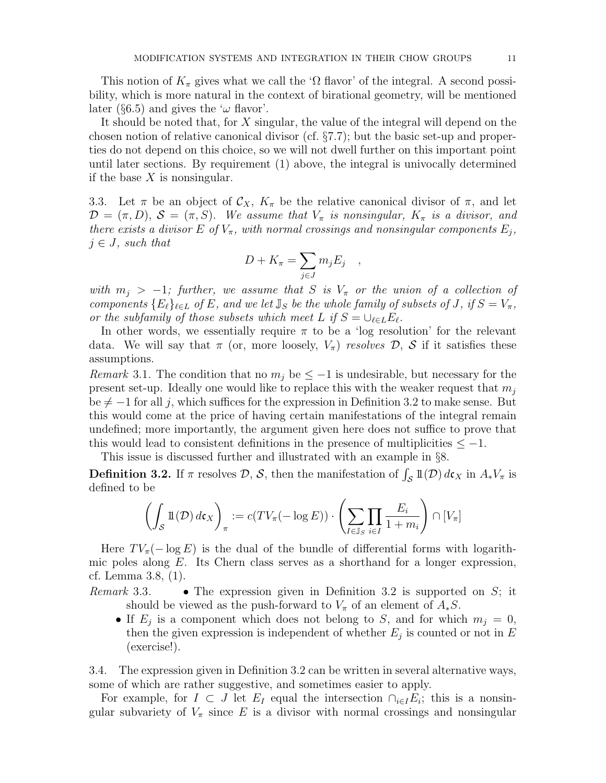This notion of  $K_{\pi}$  gives what we call the ' $\Omega$  flavor' of the integral. A second possibility, which is more natural in the context of birational geometry, will be mentioned later (§6.5) and gives the ' $\omega$  flavor'.

It should be noted that, for X singular, the value of the integral will depend on the chosen notion of relative canonical divisor (cf. §7.7); but the basic set-up and properties do not depend on this choice, so we will not dwell further on this important point until later sections. By requirement (1) above, the integral is univocally determined if the base  $X$  is nonsingular.

3.3. Let  $\pi$  be an object of  $\mathcal{C}_X$ ,  $K_{\pi}$  be the relative canonical divisor of  $\pi$ , and let  $\mathcal{D} = (\pi, D), \, \mathcal{S} = (\pi, S).$  We assume that  $V_{\pi}$  is nonsingular,  $K_{\pi}$  is a divisor, and there exists a divisor E of  $V_{\pi}$ , with normal crossings and nonsingular components  $E_j$ ,  $j \in J$ , such that

$$
D + K_{\pi} = \sum_{j \in J} m_j E_j ,
$$

with  $m_i > -1$ ; further, we assume that S is  $V_{\pi}$  or the union of a collection of components  $\{E_{\ell}\}_{\ell \in L}$  of E, and we let  $\mathbb{J}_{S}$  be the whole family of subsets of J, if  $S = V_{\pi}$ , or the subfamily of those subsets which meet L if  $S = \bigcup_{\ell \in L} E_{\ell}$ .

In other words, we essentially require  $\pi$  to be a 'log resolution' for the relevant data. We will say that  $\pi$  (or, more loosely,  $V_{\pi}$ ) resolves  $\mathcal{D}, \mathcal{S}$  if it satisfies these assumptions.

Remark 3.1. The condition that no  $m_j$  be  $\leq -1$  is undesirable, but necessary for the present set-up. Ideally one would like to replace this with the weaker request that  $m_i$ be  $\neq -1$  for all j, which suffices for the expression in Definition 3.2 to make sense. But this would come at the price of having certain manifestations of the integral remain undefined; more importantly, the argument given here does not suffice to prove that this would lead to consistent definitions in the presence of multiplicities  $\leq -1$ .

This issue is discussed further and illustrated with an example in §8.

**Definition 3.2.** If  $\pi$  resolves  $\mathcal{D}, \mathcal{S}$ , then the manifestation of  $\int_{\mathcal{S}} \mathbb{1}(\mathcal{D}) d\mathfrak{c}_X$  in  $A_* V_{\pi}$  is defined to be

$$
\left(\int_{\mathcal{S}} \mathbb{1}(\mathcal{D}) \, d\mathfrak{c}_X\right)_\pi := c(TV_\pi(-\log E)) \cdot \left(\sum_{I \in \mathbb{J}_S} \prod_{i \in I} \frac{E_i}{1 + m_i}\right) \cap [V_\pi]
$$

Here  $TV_{\pi}(-\log E)$  is the dual of the bundle of differential forms with logarithmic poles along  $E$ . Its Chern class serves as a shorthand for a longer expression, cf. Lemma 3.8, (1).

- Remark 3.3. The expression given in Definition 3.2 is supported on  $S$ ; it should be viewed as the push-forward to  $V_{\pi}$  of an element of  $A_{*}S$ .
	- If  $E_j$  is a component which does not belong to S, and for which  $m_j = 0$ , then the given expression is independent of whether  $E_j$  is counted or not in  $E$ (exercise!).

3.4. The expression given in Definition 3.2 can be written in several alternative ways, some of which are rather suggestive, and sometimes easier to apply.

For example, for  $I \subset J$  let  $E_I$  equal the intersection  $\cap_{i \in I} E_i$ ; this is a nonsingular subvariety of  $V_{\pi}$  since E is a divisor with normal crossings and nonsingular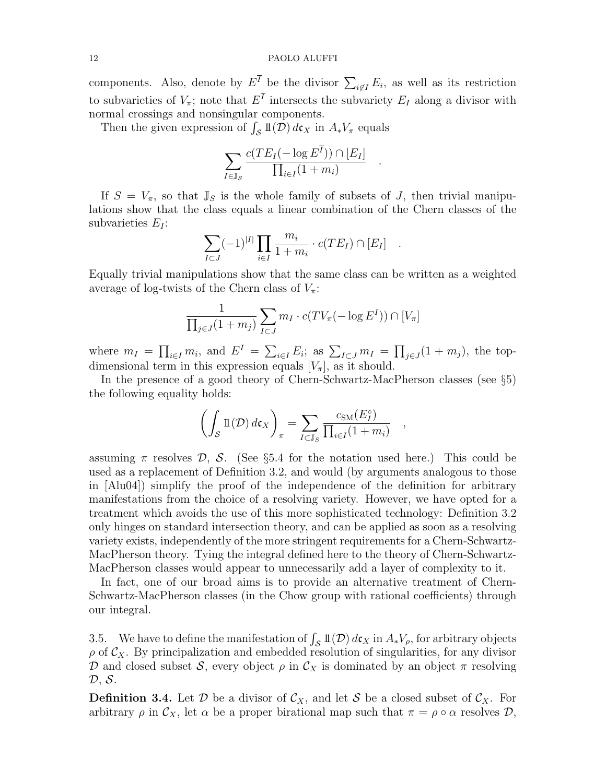### 12 PAOLO ALUFFI

components. Also, denote by  $E^I$  be the divisor  $\sum_{i \notin I} E_i$ , as well as its restriction to subvarieties of  $V_{\pi}$ ; note that  $E^{I}$  intersects the subvariety  $E_{I}$  along a divisor with normal crossings and nonsingular components.

Then the given expression of  $\int_{\mathcal{S}} 1\!\!1(\overline{\mathcal{D}}) d\mathfrak{c}_X$  in  $A_*V_\pi$  equals

$$
\sum_{I \in \mathbb{J}_S} \frac{c(T E_I(-\log E^{\overline{I}})) \cap [E_I]}{\prod_{i \in I} (1 + m_i)}
$$

.

If  $S = V_{\pi}$ , so that  $\mathbb{J}_S$  is the whole family of subsets of J, then trivial manipulations show that the class equals a linear combination of the Chern classes of the subvarieties  $E_I$ :

$$
\sum_{I \subset J} (-1)^{|I|} \prod_{i \in I} \frac{m_i}{1 + m_i} \cdot c(T E_I) \cap [E_I] .
$$

Equally trivial manipulations show that the same class can be written as a weighted average of log-twists of the Chern class of  $V_{\pi}$ :

$$
\frac{1}{\prod_{j\in J}(1+m_j)}\sum_{I\subset J}m_I\cdot c(TV_\pi(-\log E^I))\cap [V_\pi]
$$

where  $m_I = \prod_{i \in I} m_i$ , and  $E^I = \sum_{i \in I} E_i$ ; as  $\sum_{I \subset J} m_I = \prod_{j \in J} (1 + m_j)$ , the topdimensional term in this expression equals  $[V_\pi]$ , as it should.

In the presence of a good theory of Chern-Schwartz-MacPherson classes (see §5) the following equality holds:

$$
\left(\int_{\mathcal{S}} \mathbb{1}(\mathcal{D}) d\mathfrak{c}_X\right)_\pi = \sum_{I \subset \mathbb{J}_S} \frac{c_{\text{SM}}(E_I^\circ)}{\prod_{i \in I} (1 + m_i)},
$$

assuming  $\pi$  resolves  $\mathcal{D}, \mathcal{S}.$  (See §5.4 for the notation used here.) This could be used as a replacement of Definition 3.2, and would (by arguments analogous to those in [Alu04]) simplify the proof of the independence of the definition for arbitrary manifestations from the choice of a resolving variety. However, we have opted for a treatment which avoids the use of this more sophisticated technology: Definition 3.2 only hinges on standard intersection theory, and can be applied as soon as a resolving variety exists, independently of the more stringent requirements for a Chern-Schwartz-MacPherson theory. Tying the integral defined here to the theory of Chern-Schwartz-MacPherson classes would appear to unnecessarily add a layer of complexity to it.

In fact, one of our broad aims is to provide an alternative treatment of Chern-Schwartz-MacPherson classes (in the Chow group with rational coefficients) through our integral.

3.5. We have to define the manifestation of  $\int_{\mathcal{S}} 1\!\!1(\mathcal{D}) d\mathfrak{c}_X$  in  $A_*V_\rho$ , for arbitrary objects  $\rho$  of  $\mathcal{C}_X$ . By principalization and embedded resolution of singularities, for any divisor D and closed subset S, every object  $\rho$  in  $\mathcal{C}_X$  is dominated by an object  $\pi$  resolving  $\mathcal{D}, \mathcal{S}.$ 

**Definition 3.4.** Let  $\mathcal{D}$  be a divisor of  $\mathcal{C}_X$ , and let  $\mathcal{S}$  be a closed subset of  $\mathcal{C}_X$ . For arbitrary  $\rho$  in  $\mathcal{C}_X$ , let  $\alpha$  be a proper birational map such that  $\pi = \rho \circ \alpha$  resolves  $\mathcal{D}$ ,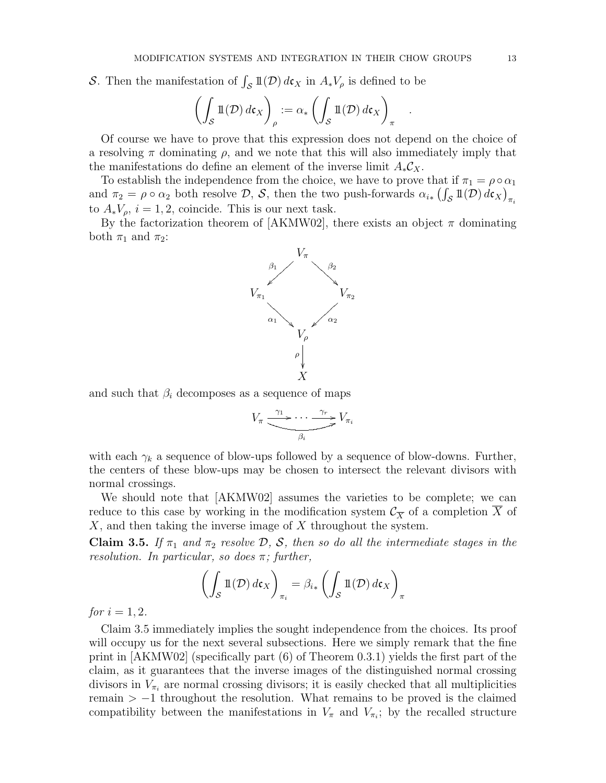S. Then the manifestation of  $\int_{\mathcal{S}} 1\mathcal{I}(\mathcal{D}) d\mathfrak{c}_X$  in  $A_*V_\rho$  is defined to be

$$
\left(\int_{\mathcal{S}} \mathbb{1}(\mathcal{D}) \, d\mathfrak{c}_X\right)_{\rho} := \alpha_* \left(\int_{\mathcal{S}} \mathbb{1}(\mathcal{D}) \, d\mathfrak{c}_X\right)_{\pi}
$$

Of course we have to prove that this expression does not depend on the choice of a resolving  $\pi$  dominating  $\rho$ , and we note that this will also immediately imply that the manifestations do define an element of the inverse limit  $A_*\mathcal{C}_X$ .

To establish the independence from the choice, we have to prove that if  $\pi_1 = \rho \circ \alpha_1$ and  $\pi_2 = \rho \circ \alpha_2$  both resolve  $\mathcal{D}, \mathcal{S}$ , then the two push-forwards  $\alpha_{i*} (\int_{\mathcal{S}} \mathbb{1}(D) d\mathfrak{c}_X)_{\pi_i}$ to  $A_*V_\rho$ ,  $i=1,2$ , coincide. This is our next task.

By the factorization theorem of [AKMW02], there exists an object  $\pi$  dominating both  $\pi_1$  and  $\pi_2$ :



and such that  $\beta_i$  decomposes as a sequence of maps

$$
V_{\pi} \xrightarrow{\gamma_1} \cdots \xrightarrow{\gamma_r} V_{\pi_i}
$$

with each  $\gamma_k$  a sequence of blow-ups followed by a sequence of blow-downs. Further, the centers of these blow-ups may be chosen to intersect the relevant divisors with normal crossings.

We should note that [AKMW02] assumes the varieties to be complete; we can reduce to this case by working in the modification system  $\mathcal{C}_{\overline{X}}$  of a completion X of X, and then taking the inverse image of X throughout the system.

**Claim 3.5.** If  $\pi_1$  and  $\pi_2$  resolve  $\mathcal{D}$ ,  $\mathcal{S}$ , then so do all the intermediate stages in the resolution. In particular, so does  $\pi$ ; further,

$$
\left(\int_{\mathcal{S}} \mathbb{1}(\mathcal{D}) \, d\mathfrak{c}_X\right)_{\pi_i} = \beta_{i*} \left(\int_{\mathcal{S}} \mathbb{1}(\mathcal{D}) \, d\mathfrak{c}_X\right)_{\pi}
$$

*for*  $i = 1, 2$ .

Claim 3.5 immediately implies the sought independence from the choices. Its proof will occupy us for the next several subsections. Here we simply remark that the fine print in [AKMW02] (specifically part (6) of Theorem 0.3.1) yields the first part of the claim, as it guarantees that the inverse images of the distinguished normal crossing divisors in  $V_{\pi_i}$  are normal crossing divisors; it is easily checked that all multiplicities remain  $> -1$  throughout the resolution. What remains to be proved is the claimed compatibility between the manifestations in  $V_{\pi}$  and  $V_{\pi}$ ; by the recalled structure

.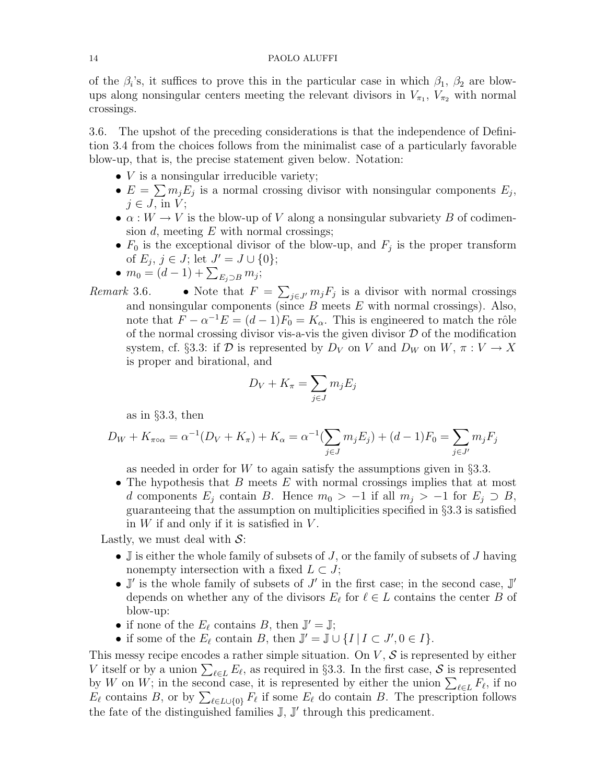of the  $\beta_i$ 's, it suffices to prove this in the particular case in which  $\beta_1$ ,  $\beta_2$  are blowups along nonsingular centers meeting the relevant divisors in  $V_{\pi_1}$ ,  $V_{\pi_2}$  with normal crossings.

3.6. The upshot of the preceding considerations is that the independence of Definition 3.4 from the choices follows from the minimalist case of a particularly favorable blow-up, that is, the precise statement given below. Notation:

- $V$  is a nonsingular irreducible variety;
- $E = \sum m_j E_j$  is a normal crossing divisor with nonsingular components  $E_j$ ,  $j \in J$ , in  $V$ ;
- $\alpha: W \to V$  is the blow-up of V along a nonsingular subvariety B of codimension  $d$ , meeting  $E$  with normal crossings;
- $F_0$  is the exceptional divisor of the blow-up, and  $F_j$  is the proper transform of  $E_j, j \in J$ ; let  $J' = J \cup \{0\}$ ;
- $m_0 = (d-1) + \sum_{E_j \supset B} m_j;$
- Remark 3.6. Note that  $F = \sum_{j \in J'} m_j F_j$  is a divisor with normal crossings and nonsingular components (since  $B$  meets  $E$  with normal crossings). Also, note that  $\widetilde{F} - \alpha^{-1}E = (d-1)F_0 = K_\alpha$ . This is engineered to match the rôle of the normal crossing divisor vis-a-vis the given divisor  $D$  of the modification system, cf. §3.3: if D is represented by  $D_V$  on V and  $D_W$  on W,  $\pi: V \to X$ is proper and birational, and

$$
D_V + K_{\pi} = \sum_{j \in J} m_j E_j
$$

as in §3.3, then

$$
D_W + K_{\pi \circ \alpha} = \alpha^{-1}(D_V + K_{\pi}) + K_{\alpha} = \alpha^{-1}(\sum_{j \in J} m_j E_j) + (d - 1)F_0 = \sum_{j \in J'} m_j F_j
$$

as needed in order for W to again satisfy the assumptions given in  $\S 3.3$ .

• The hypothesis that  $B$  meets  $E$  with normal crossings implies that at most d components  $E_j$  contain B. Hence  $m_0 > -1$  if all  $m_j > -1$  for  $E_j \supset B$ , guaranteeing that the assumption on multiplicities specified in §3.3 is satisfied in  $W$  if and only if it is satisfied in  $V$ .

Lastly, we must deal with  $S$ :

- $\mathbb J$  is either the whole family of subsets of J, or the family of subsets of J having nonempty intersection with a fixed  $L \subset J$ ;
- $\mathbb{J}'$  is the whole family of subsets of  $J'$  in the first case; in the second case,  $\mathbb{J}'$ depends on whether any of the divisors  $E_\ell$  for  $\ell \in L$  contains the center B of blow-up:
- if none of the  $E_{\ell}$  contains B, then  $\mathbb{J}' = \mathbb{J}$ ;
- if some of the  $E_\ell$  contain B, then  $\mathbb{J}' = \mathbb{J} \cup \{I \mid I \subset J', 0 \in I\}.$

This messy recipe encodes a rather simple situation. On  $V, S$  is represented by either V itself or by a union  $\sum_{\ell \in L} E_{\ell}$ , as required in §3.3. In the first case, S is represented by W on W; in the second case, it is represented by either the union  $\sum_{\ell \in L} F_{\ell}$ , if no  $E_{\ell}$  contains B, or by  $\sum_{\ell \in L\cup\{0\}} F_{\ell}$  if some  $E_{\ell}$  do contain B. The prescription follows the fate of the distinguished families  $\mathbb{J}, \mathbb{J}'$  through this predicament.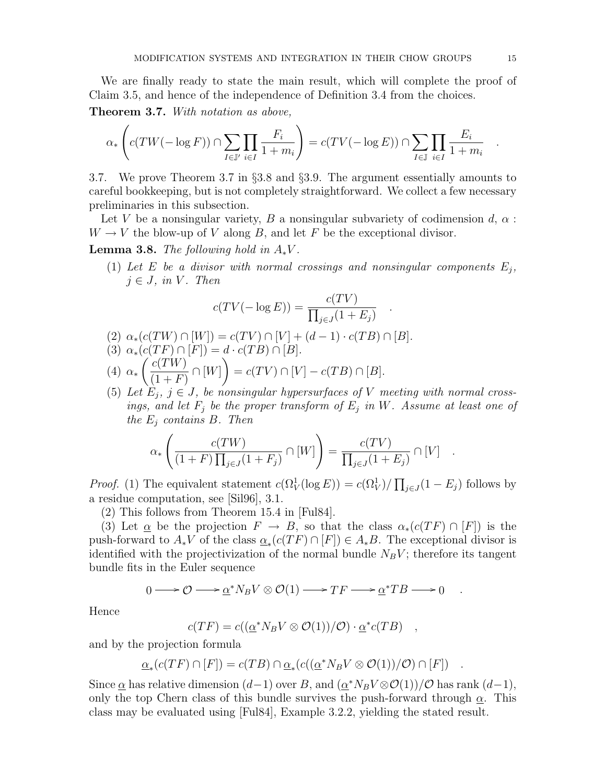We are finally ready to state the main result, which will complete the proof of Claim 3.5, and hence of the independence of Definition 3.4 from the choices.

Theorem 3.7. With notation as above,

$$
\alpha_*\left(c(TW(-\log F))\cap \sum_{I\in\mathbb{J}'}\prod_{i\in I}\frac{F_i}{1+m_i}\right)=c(TV(-\log E))\cap \sum_{I\in\mathbb{J}}\prod_{i\in I}\frac{E_i}{1+m_i}
$$

3.7. We prove Theorem 3.7 in §3.8 and §3.9. The argument essentially amounts to careful bookkeeping, but is not completely straightforward. We collect a few necessary preliminaries in this subsection.

Let V be a nonsingular variety, B a nonsingular subvariety of codimension  $d, \alpha$ :  $W \to V$  the blow-up of V along B, and let F be the exceptional divisor.

**Lemma 3.8.** The following hold in  $A_*V$ .

(1) Let E be a divisor with normal crossings and nonsingular components  $E_j$ ,  $j \in J$ , in V. Then

.

$$
c(TV(-\log E)) = \frac{c(TV)}{\prod_{j \in J} (1 + E_j)}
$$

- (2)  $\alpha_*(c(TW) \cap [W]) = c(TV) \cap [V] + (d-1) \cdot c(TB) \cap [B].$
- (3)  $\alpha_*(c(TF) \cap [F]) = d \cdot c(TB) \cap [B].$
- (4)  $\alpha_* \left( \frac{c(TW)}{(1+\Gamma)} \right)$  $(1 + F)$  $\cap [W]$  =  $c(TV) \cap [V] - c(TB) \cap [B].$
- (5) Let  $E_j$ ,  $j \in J$ , be nonsingular hypersurfaces of V meeting with normal crossings, and let  $F_j$  be the proper transform of  $E_j$  in W. Assume at least one of the  $E_i$  contains B. Then

$$
\alpha_*\left(\frac{c(TW)}{(1+F)\prod_{j\in J}(1+F_j)}\cap [W]\right) = \frac{c(TV)}{\prod_{j\in J}(1+E_j)}\cap [V] .
$$

*Proof.* (1) The equivalent statement  $c(\Omega_V^1(\log E)) = c(\Omega_V^1)/\prod_{j\in J}(1-E_j)$  follows by a residue computation, see [Sil96], 3.1.

(2) This follows from Theorem 15.4 in [Ful84].

(3) Let  $\underline{\alpha}$  be the projection  $F \to B$ , so that the class  $\alpha_*(c(TF) \cap [F])$  is the push-forward to  $A_*V$  of the class  $\underline{\alpha}_*(c(TF) \cap [F]) \in A_*B$ . The exceptional divisor is identified with the projectivization of the normal bundle  $N_B V$ ; therefore its tangent bundle fits in the Euler sequence

$$
0 \longrightarrow \mathcal{O} \longrightarrow \underline{\alpha}^* N_B V \otimes \mathcal{O}(1) \longrightarrow TF \longrightarrow \underline{\alpha}^* TB \longrightarrow 0 \quad .
$$

Hence

$$
c(TF) = c((\underline{\alpha}^* N_B V \otimes \mathcal{O}(1))/\mathcal{O}) \cdot \underline{\alpha}^* c(TB) ,
$$

and by the projection formula

$$
\underline{\alpha}_*(c(TF)\cap [F]) = c(TB)\cap \underline{\alpha}_*(c((\underline{\alpha}^*N_BV\otimes \mathcal{O}(1))/\mathcal{O})\cap [F]) .
$$

Since  $\underline{\alpha}$  has relative dimension  $(d-1)$  over B, and  $(\underline{\alpha}^* N_B V \otimes \mathcal{O}(1))/\mathcal{O}$  has rank  $(d-1)$ , only the top Chern class of this bundle survives the push-forward through  $\alpha$ . This class may be evaluated using [Ful84], Example 3.2.2, yielding the stated result.

.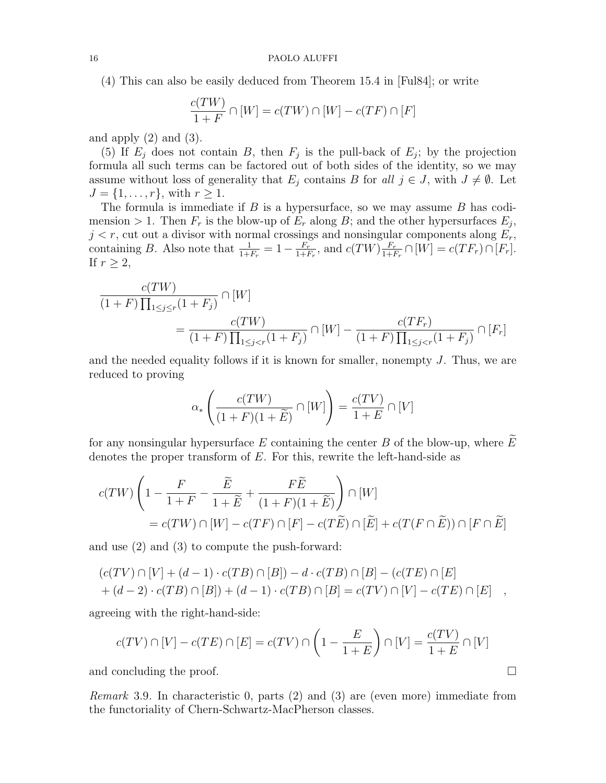(4) This can also be easily deduced from Theorem 15.4 in [Ful84]; or write

$$
\frac{c(TW)}{1+F} \cap [W] = c(TW) \cap [W] - c(TF) \cap [F]
$$

and apply  $(2)$  and  $(3)$ .

(5) If  $E_j$  does not contain B, then  $F_j$  is the pull-back of  $E_j$ ; by the projection formula all such terms can be factored out of both sides of the identity, so we may assume without loss of generality that  $E_j$  contains B for all  $j \in J$ , with  $J \neq \emptyset$ . Let  $J = \{1, ..., r\}$ , with  $r \geq 1$ .

The formula is immediate if  $B$  is a hypersurface, so we may assume  $B$  has codimension > 1. Then  $F_r$  is the blow-up of  $E_r$  along B; and the other hypersurfaces  $E_j$ ,  $j < r$ , cut out a divisor with normal crossings and nonsingular components along  $E_r$ , containing B. Also note that  $\frac{1}{1+F_r} = 1 - \frac{F_r}{1+H_r}$  $\frac{F_r}{1+F_r}$ , and  $c(TW)\frac{F_r}{1+H}$  $\frac{F_r}{1+F_r} \cap [W] = c(TF_r) \cap [F_r].$ If  $r \geq 2$ ,

$$
\frac{c(TW)}{(1+F)\prod_{1\leq j\leq r}(1+F_j)} \cap [W]
$$
  
= 
$$
\frac{c(TW)}{(1+F)\prod_{1\leq j
$$

and the needed equality follows if it is known for smaller, nonempty  $J$ . Thus, we are reduced to proving

$$
\alpha_*\left(\frac{c(TW)}{(1+F)(1+\widetilde{E})} \cap [W]\right) = \frac{c(TV)}{1+E} \cap [V]
$$

for any nonsingular hypersurface E containing the center B of the blow-up, where  $E$ denotes the proper transform of  $E$ . For this, rewrite the left-hand-side as

$$
c(TW)\left(1 - \frac{F}{1+F} - \frac{\widetilde{E}}{1+\widetilde{E}} + \frac{F\widetilde{E}}{(1+F)(1+\widetilde{E})}\right) \cap [W]
$$
  
=  $c(TW) \cap [W] - c(TF) \cap [F] - c(T\widetilde{E}) \cap [\widetilde{E}] + c(T(F \cap \widetilde{E})) \cap [F \cap \widetilde{E}]$ 

and use (2) and (3) to compute the push-forward:

$$
(c(TV) \cap [V] + (d-1) \cdot c(TB) \cap [B]) - d \cdot c(TB) \cap [B] - (c(TE) \cap [E] + (d-2) \cdot c(TB) \cap [B]) + (d-1) \cdot c(TB) \cap [B] = c(TV) \cap [V] - c(TE) \cap [E] ,
$$

agreeing with the right-hand-side:

$$
c(TV) \cap [V] - c(TE) \cap [E] = c(TV) \cap \left(1 - \frac{E}{1+E}\right) \cap [V] = \frac{c(TV)}{1+E} \cap [V]
$$

and concluding the proof.

Remark 3.9. In characteristic 0, parts (2) and (3) are (even more) immediate from the functoriality of Chern-Schwartz-MacPherson classes.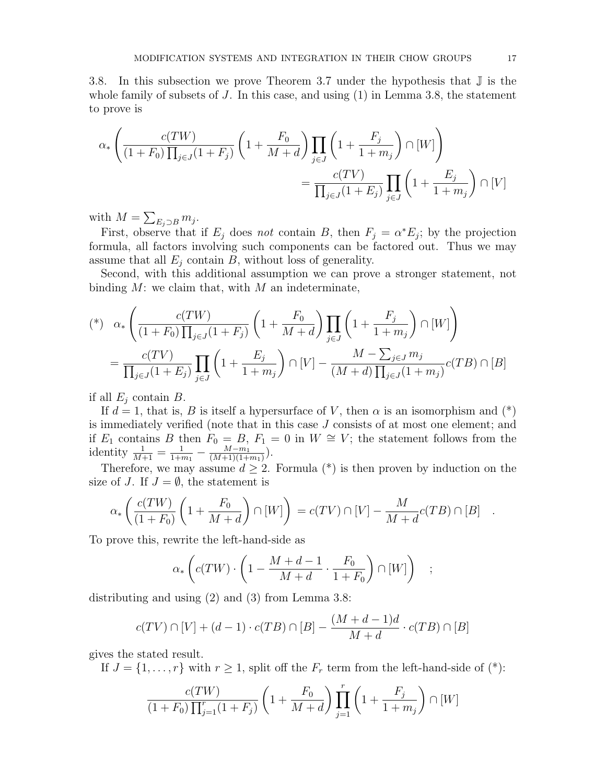3.8. In this subsection we prove Theorem 3.7 under the hypothesis that J is the whole family of subsets of  $J$ . In this case, and using  $(1)$  in Lemma 3.8, the statement to prove is

$$
\alpha_* \left( \frac{c(TW)}{(1+F_0)\prod_{j\in J} (1+F_j)} \left(1+\frac{F_0}{M+d}\right) \prod_{j\in J} \left(1+\frac{F_j}{1+m_j}\right) \cap [W]\right)
$$

$$
= \frac{c(TV)}{\prod_{j\in J} (1+E_j)} \prod_{j\in J} \left(1+\frac{E_j}{1+m_j}\right) \cap [V]
$$

with  $M = \sum_{E_j \supset B} m_j$ .

First, observe that if  $E_j$  does not contain B, then  $F_j = \alpha^* E_j$ ; by the projection formula, all factors involving such components can be factored out. Thus we may assume that all  $E_i$  contain B, without loss of generality.

Second, with this additional assumption we can prove a stronger statement, not binding  $M$ : we claim that, with  $M$  an indeterminate,

$$
(*) \alpha_* \left( \frac{c(TW)}{(1+F_0)\prod_{j\in J} (1+F_j)} \left(1+\frac{F_0}{M+d}\right) \prod_{j\in J} \left(1+\frac{F_j}{1+m_j}\right) \cap [W] \right)
$$
  

$$
= \frac{c(TV)}{\prod_{j\in J} (1+E_j)} \prod_{j\in J} \left(1+\frac{E_j}{1+m_j}\right) \cap [V] - \frac{M-\sum_{j\in J} m_j}{(M+d)\prod_{j\in J} (1+m_j)} c(TB) \cap [B]
$$

if all  $E_i$  contain  $B$ .

If  $d = 1$ , that is, B is itself a hypersurface of V, then  $\alpha$  is an isomorphism and (\*) is immediately verified (note that in this case J consists of at most one element; and if  $E_1$  contains B then  $F_0 = B$ ,  $F_1 = 0$  in  $W \cong V$ ; the statement follows from the identity  $\frac{1}{M+1} = \frac{1}{1+r}$  $\frac{1}{1+m_1} - \frac{M-m_1}{(M+1)(1+)}$  $\frac{M-m_1}{(M+1)(1+m_1)}$ .

Therefore, we may assume  $d \geq 2$ . Formula (\*) is then proven by induction on the size of J. If  $J = \emptyset$ , the statement is

$$
\alpha_*\left(\frac{c(TW)}{(1+F_0)}\left(1+\frac{F_0}{M+d}\right)\cap [W]\right) = c(TV)\cap [V] - \frac{M}{M+d}c(TB)\cap [B] .
$$

To prove this, rewrite the left-hand-side as

$$
\alpha_*\left(c(TW)\cdot\left(1-\frac{M+d-1}{M+d}\cdot\frac{F_0}{1+F_0}\right)\cap[W]\right) \quad ;
$$

distributing and using (2) and (3) from Lemma 3.8:

$$
c(TV)\cap [V]+(d-1)\cdot c(TB)\cap [B]-\frac{(M+d-1)d}{M+d}\cdot c(TB)\cap [B]
$$

gives the stated result.

If  $J = \{1, \ldots, r\}$  with  $r \geq 1$ , split off the  $F_r$  term from the left-hand-side of  $(*)$ :

$$
\frac{c(TW)}{(1+F_0)\prod_{j=1}^r(1+F_j)} \left(1+\frac{F_0}{M+d}\right) \prod_{j=1}^r \left(1+\frac{F_j}{1+m_j}\right) \cap [W]
$$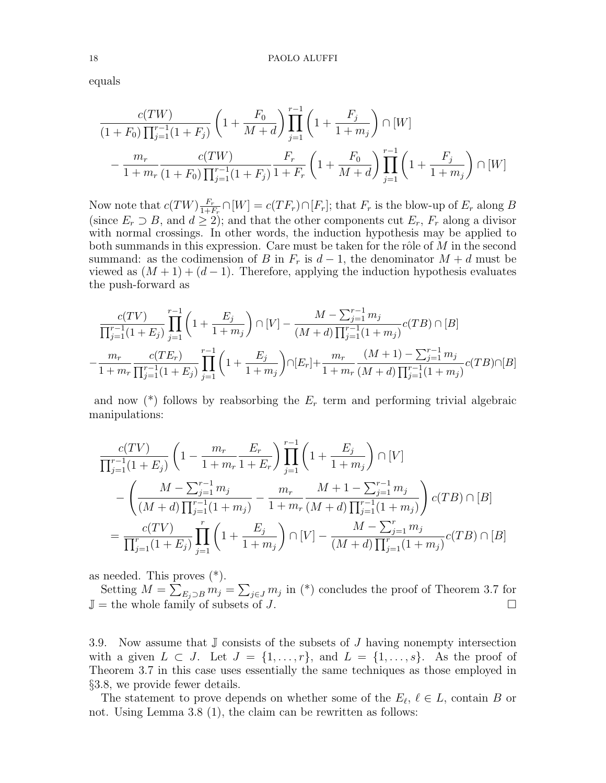equals

$$
\frac{c(TW)}{(1+F_0)\prod_{j=1}^{r-1}(1+F_j)} \left(1+\frac{F_0}{M+d}\right) \prod_{j=1}^{r-1} \left(1+\frac{F_j}{1+m_j}\right) \cap [W]
$$

$$
-\frac{m_r}{1+m_r} \frac{c(TW)}{(1+F_0)\prod_{j=1}^{r-1}(1+F_j)} \frac{F_r}{1+F_r} \left(1+\frac{F_0}{M+d}\right) \prod_{j=1}^{r-1} \left(1+\frac{F_j}{1+m_j}\right) \cap [W]
$$

Now note that  $c(TW) \frac{F_r}{1+t}$  $\frac{F_r}{1+F_r} \cap [W] = c(TF_r) \cap [F_r]$ ; that  $F_r$  is the blow-up of  $E_r$  along B (since  $E_r \supset B$ , and  $d \ge 2$ ); and that the other components cut  $E_r$ ,  $F_r$  along a divisor with normal crossings. In other words, the induction hypothesis may be applied to both summands in this expression. Care must be taken for the rôle of  $M$  in the second summand: as the codimension of B in  $F_r$  is  $d-1$ , the denominator  $M+d$  must be viewed as  $(M + 1) + (d - 1)$ . Therefore, applying the induction hypothesis evaluates the push-forward as

$$
\frac{c(TV)}{\prod_{j=1}^{r-1} (1+E_j)} \prod_{j=1}^{r-1} \left(1 + \frac{E_j}{1+m_j}\right) \cap [V] - \frac{M - \sum_{j=1}^{r-1} m_j}{(M+d) \prod_{j=1}^{r-1} (1+m_j)} c(TB) \cap [B]
$$

$$
-\frac{m_r}{1+m_r} \frac{c(TE_r)}{\prod_{j=1}^{r-1} (1+E_j)} \prod_{j=1}^{r-1} \left(1 + \frac{E_j}{1+m_j}\right) \cap [E_r] + \frac{m_r}{1+m_r} \frac{(M+1) - \sum_{j=1}^{r-1} m_j}{(M+d) \prod_{j=1}^{r-1} (1+m_j)} c(TB) \cap [B]
$$

and now  $(*)$  follows by reabsorbing the  $E_r$  term and performing trivial algebraic manipulations:

$$
\frac{c(TV)}{\prod_{j=1}^{r-1}(1+E_j)} \left(1 - \frac{m_r}{1+m_r} \frac{E_r}{1+E_r}\right) \prod_{j=1}^{r-1} \left(1 + \frac{E_j}{1+m_j}\right) \cap [V]
$$
\n
$$
- \left(\frac{M - \sum_{j=1}^{r-1} m_j}{(M+d) \prod_{j=1}^{r-1} (1+m_j)} - \frac{m_r}{1+m_r} \frac{M+1 - \sum_{j=1}^{r-1} m_j}{(M+d) \prod_{j=1}^{r-1} (1+m_j)}\right) c(TB) \cap [B]
$$
\n
$$
= \frac{c(TV)}{\prod_{j=1}^{r} (1+E_j)} \prod_{j=1}^{r} \left(1 + \frac{E_j}{1+m_j}\right) \cap [V] - \frac{M - \sum_{j=1}^{r} m_j}{(M+d) \prod_{j=1}^{r} (1+m_j)} c(TB) \cap [B]
$$

as needed. This proves (\*).

Setting  $M = \sum_{E_j \supset B} m_j = \sum_{j \in J} m_j$  in (\*) concludes the proof of Theorem 3.7 for  $\mathbb{J} =$  the whole family of subsets of J.

3.9. Now assume that  $\mathbb J$  consists of the subsets of  $J$  having nonempty intersection with a given  $L \subset J$ . Let  $J = \{1, \ldots, r\}$ , and  $L = \{1, \ldots, s\}$ . As the proof of Theorem 3.7 in this case uses essentially the same techniques as those employed in §3.8, we provide fewer details.

The statement to prove depends on whether some of the  $E_{\ell}$ ,  $\ell \in L$ , contain B or not. Using Lemma 3.8 (1), the claim can be rewritten as follows: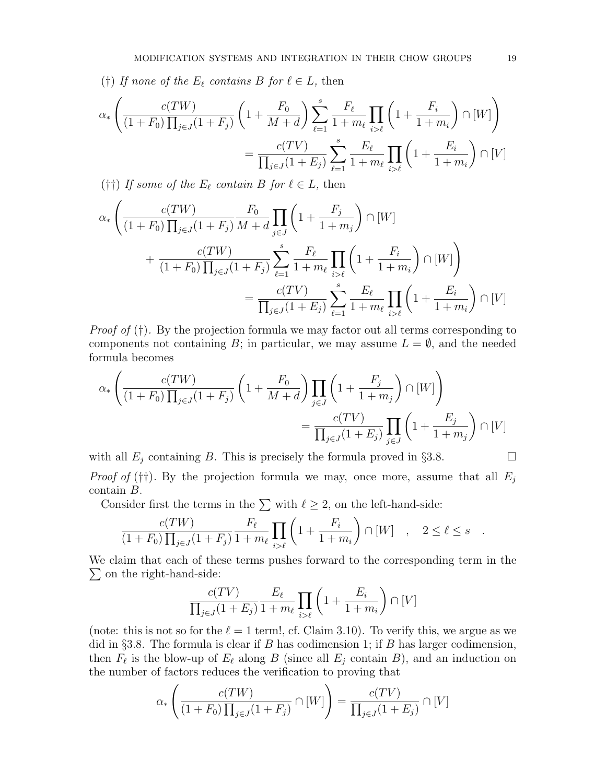(†) If none of the  $E_\ell$  contains B for  $\ell \in L$ , then

$$
\alpha_{*} \left( \frac{c(TW)}{(1+F_{0}) \prod_{j\in J} (1+F_{j})} \left( 1 + \frac{F_{0}}{M+d} \right) \sum_{\ell=1}^{s} \frac{F_{\ell}}{1+m_{\ell}} \prod_{i>\ell} \left( 1 + \frac{F_{i}}{1+m_{i}} \right) \cap [W] \right)
$$

$$
= \frac{c(TV)}{\prod_{j\in J} (1+E_{j})} \sum_{\ell=1}^{s} \frac{E_{\ell}}{1+m_{\ell}} \prod_{i>\ell} \left( 1 + \frac{E_{i}}{1+m_{i}} \right) \cap [V]
$$

(††) If some of the  $E_\ell$  contain B for  $\ell \in L$ , then

$$
\alpha_{*} \left( \frac{c(TW)}{(1+F_{0}) \prod_{j\in J} (1+F_{j})} \frac{F_{0}}{M+d} \prod_{j\in J} \left( 1 + \frac{F_{j}}{1+m_{j}} \right) \cap [W] + \frac{c(TW)}{(1+F_{0}) \prod_{j\in J} (1+F_{j})} \sum_{\ell=1}^{s} \frac{F_{\ell}}{1+m_{\ell}} \prod_{i>\ell} \left( 1 + \frac{F_{i}}{1+m_{i}} \right) \cap [W] \right) = \frac{c(TV)}{\prod_{j\in J} (1+E_{j})} \sum_{\ell=1}^{s} \frac{E_{\ell}}{1+m_{\ell}} \prod_{i>\ell} \left( 1 + \frac{E_{i}}{1+m_{i}} \right) \cap [V]
$$

*Proof of*  $(f)$ . By the projection formula we may factor out all terms corresponding to components not containing B; in particular, we may assume  $L = \emptyset$ , and the needed formula becomes

$$
\alpha_{*} \left( \frac{c(TW)}{(1+F_{0}) \prod_{j \in J} (1+F_{j})} \left(1 + \frac{F_{0}}{M+d}\right) \prod_{j \in J} \left(1 + \frac{F_{j}}{1+m_{j}}\right) \cap [W]\right) = \frac{c(TV)}{\prod_{j \in J} (1+E_{j})} \prod_{j \in J} \left(1 + \frac{E_{j}}{1+m_{j}}\right) \cap [V]
$$

with all  $E_j$  containing B. This is precisely the formula proved in §3.8. *Proof of* (††). By the projection formula we may, once more, assume that all  $E_i$ 

contain B.

Consider first the terms in the  $\sum$  with  $\ell \geq 2$ , on the left-hand-side:

$$
\frac{c(TW)}{(1+F_0)\prod_{j\in J}(1+F_j)}\frac{F_{\ell}}{1+m_{\ell}}\prod_{i>\ell}\left(1+\frac{F_i}{1+m_i}\right)\cap [W]\quad ,\quad 2\leq \ell\leq s\quad .
$$

We claim that each of these terms pushes forward to the corresponding term in the  $\Sigma$  on the right-hand-side:

$$
\frac{c(TV)}{\prod_{j\in J}(1+E_j)}\frac{E_{\ell}}{1+m_{\ell}}\prod_{i>\ell}\left(1+\frac{E_i}{1+m_i}\right)\cap [V]
$$

(note: this is not so for the  $\ell = 1$  term!, cf. Claim 3.10). To verify this, we argue as we did in §3.8. The formula is clear if  $B$  has codimension 1; if  $B$  has larger codimension, then  $F_\ell$  is the blow-up of  $E_\ell$  along B (since all  $E_j$  contain B), and an induction on the number of factors reduces the verification to proving that

$$
\alpha_*\left(\frac{c(TW)}{(1+F_0)\prod_{j\in J}(1+F_j)}\cap [W]\right)=\frac{c(TV)}{\prod_{j\in J}(1+E_j)}\cap [V]
$$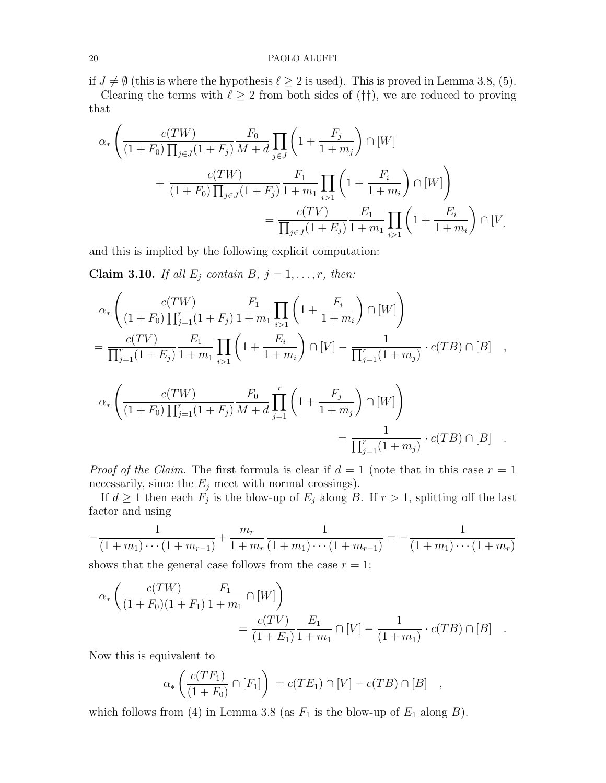#### 20 PAOLO ALUFFI

if  $J \neq \emptyset$  (this is where the hypothesis  $\ell \geq 2$  is used). This is proved in Lemma 3.8, (5).

Clearing the terms with  $\ell \geq 2$  from both sides of (††), we are reduced to proving that

$$
\alpha_{*} \left( \frac{c(TW)}{(1+F_{0}) \prod_{j\in J} (1+F_{j})} \frac{F_{0}}{M+d} \prod_{j\in J} \left( 1 + \frac{F_{j}}{1+m_{j}} \right) \cap [W] + \frac{c(TW)}{(1+F_{0}) \prod_{j\in J} (1+F_{j})} \frac{F_{1}}{1+m_{1}} \prod_{i>1} \left( 1 + \frac{F_{i}}{1+m_{i}} \right) \cap [W] \right) = \frac{c(TV)}{\prod_{j\in J} (1+E_{j})} \frac{E_{1}}{1+m_{1}} \prod_{i>1} \left( 1 + \frac{E_{i}}{1+m_{i}} \right) \cap [V]
$$

and this is implied by the following explicit computation:

Claim 3.10. If all  $E_j$  contain B,  $j = 1, \ldots, r$ , then:

$$
\alpha_* \left( \frac{c(TW)}{(1+F_0)\prod_{j=1}^r (1+F_j)} \frac{F_1}{1+m_1} \prod_{i>1} \left(1 + \frac{F_i}{1+m_i}\right) \cap [W]\right)
$$
  
\n
$$
= \frac{c(TV)}{\prod_{j=1}^r (1+E_j)} \frac{E_1}{1+m_1} \prod_{i>1} \left(1 + \frac{E_i}{1+m_i}\right) \cap [V] - \frac{1}{\prod_{j=1}^r (1+m_j)} \cdot c(TB) \cap [B] ,
$$
  
\n
$$
\alpha_* \left( \frac{c(TW)}{(1+F_0)\prod_{j=1}^r (1+F_j)} \frac{F_0}{M+d} \prod_{j=1}^r \left(1 + \frac{F_j}{1+m_j}\right) \cap [W]\right)
$$
  
\n
$$
= \frac{1}{\prod_{j=1}^r (1+m_j)} \cdot c(TB) \cap [B] .
$$

*Proof of the Claim.* The first formula is clear if  $d = 1$  (note that in this case  $r = 1$ ) necessarily, since the  $E_j$  meet with normal crossings).

If  $d \geq 1$  then each  $F_j$  is the blow-up of  $E_j$  along B. If  $r > 1$ , splitting off the last factor and using

$$
-\frac{1}{(1+m_1)\cdots(1+m_{r-1})} + \frac{m_r}{1+m_r}\frac{1}{(1+m_1)\cdots(1+m_{r-1})} = -\frac{1}{(1+m_1)\cdots(1+m_r)}
$$

shows that the general case follows from the case  $r = 1$ :

$$
\alpha_* \left( \frac{c(TW)}{(1+F_0)(1+F_1)} \frac{F_1}{1+m_1} \cap [W] \right)
$$
  
= 
$$
\frac{c(TV)}{(1+E_1)} \frac{E_1}{1+m_1} \cap [V] - \frac{1}{(1+m_1)} \cdot c(TB) \cap [B] .
$$

Now this is equivalent to

$$
\alpha_*\left(\frac{c(TF_1)}{(1+F_0)} \cap [F_1]\right) = c(TE_1) \cap [V] - c(TB) \cap [B] \quad ,
$$

which follows from (4) in Lemma 3.8 (as  $F_1$  is the blow-up of  $E_1$  along  $B$ ).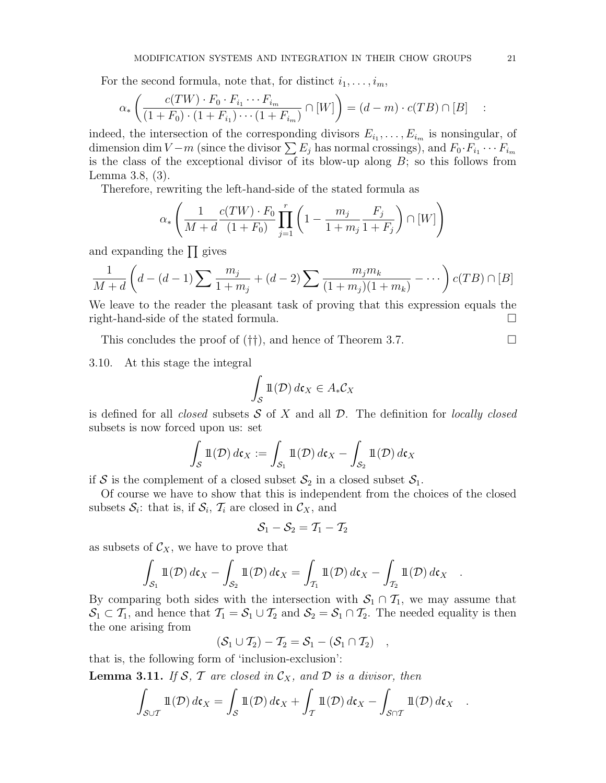For the second formula, note that, for distinct  $i_1, \ldots, i_m$ ,

$$
\alpha_*\left(\frac{c(TW)\cdot F_0\cdot F_{i_1}\cdots F_{i_m}}{(1+F_0)\cdot (1+F_{i_1})\cdots (1+F_{i_m})}\cap [W]\right) = (d-m)\cdot c(TB)\cap [B]
$$
 :

indeed, the intersection of the corresponding divisors  $E_{i_1}, \ldots, E_{i_m}$  is nonsingular, of dimension dim  $V - m$  (since the divisor  $\sum E_j$  has normal crossings), and  $F_0 \cdot F_{i_1} \cdots F_{i_m}$ is the class of the exceptional divisor of its blow-up along  $B$ ; so this follows from Lemma 3.8, (3).

Therefore, rewriting the left-hand-side of the stated formula as

$$
\alpha_* \left( \frac{1}{M+d} \frac{c(TW) \cdot F_0}{(1+F_0)} \prod_{j=1}^r \left( 1 - \frac{m_j}{1+m_j} \frac{F_j}{1+F_j} \right) \cap [W] \right)
$$

and expanding the  $\prod$  gives

$$
\frac{1}{M+d} \left( d - (d-1) \sum \frac{m_j}{1+m_j} + (d-2) \sum \frac{m_j m_k}{(1+m_j)(1+m_k)} - \cdots \right) c(TB) \cap [B]
$$

We leave to the reader the pleasant task of proving that this expression equals the right-hand-side of the stated formula.

This concludes the proof of  $(\dagger\dagger)$ , and hence of Theorem 3.7.

3.10. At this stage the integral

$$
\int_{\mathcal{S}} \mathbb{1}(\mathcal{D}) \, d\mathfrak{c}_X \in A_* \mathcal{C}_X
$$

is defined for all *closed* subsets  $S$  of X and all  $D$ . The definition for *locally closed* subsets is now forced upon us: set

$$
\int_{S} \mathbb{1}(\mathcal{D}) d\mathfrak{c}_X := \int_{\mathcal{S}_1} \mathbb{1}(\mathcal{D}) d\mathfrak{c}_X - \int_{\mathcal{S}_2} \mathbb{1}(\mathcal{D}) d\mathfrak{c}_X
$$

if S is the complement of a closed subset  $S_2$  in a closed subset  $S_1$ .

Of course we have to show that this is independent from the choices of the closed subsets  $S_i$ : that is, if  $S_i$ ,  $T_i$  are closed in  $\mathcal{C}_X$ , and

$$
\mathcal{S}_1-\mathcal{S}_2=\mathcal{T}_1-\mathcal{T}_2
$$

as subsets of  $\mathcal{C}_X$ , we have to prove that

$$
\int_{\mathcal{S}_1} \mathbb{1}(\mathcal{D}) d\mathfrak{c}_X - \int_{\mathcal{S}_2} \mathbb{1}(\mathcal{D}) d\mathfrak{c}_X = \int_{\mathcal{T}_1} \mathbb{1}(\mathcal{D}) d\mathfrak{c}_X - \int_{\mathcal{T}_2} \mathbb{1}(\mathcal{D}) d\mathfrak{c}_X.
$$

By comparing both sides with the intersection with  $S_1 \cap T_1$ , we may assume that  $S_1 \subset T_1$ , and hence that  $T_1 = S_1 \cup T_2$  and  $S_2 = S_1 \cap T_2$ . The needed equality is then the one arising from

$$
(\mathcal{S}_1 \cup \mathcal{T}_2) - \mathcal{T}_2 = \mathcal{S}_1 - (\mathcal{S}_1 \cap \mathcal{T}_2) \quad,
$$

that is, the following form of 'inclusion-exclusion':

**Lemma 3.11.** If S, T are closed in  $\mathcal{C}_X$ , and D is a divisor, then

$$
\int_{\mathcal{S}\cup\mathcal{T}}\mathbb{1}(\mathcal{D})\,d\mathfrak{c}_X=\int_{\mathcal{S}}\mathbb{1}(\mathcal{D})\,d\mathfrak{c}_X+\int_{\mathcal{T}}\mathbb{1}(\mathcal{D})\,d\mathfrak{c}_X-\int_{\mathcal{S}\cap\mathcal{T}}\mathbb{1}(\mathcal{D})\,d\mathfrak{c}_X.
$$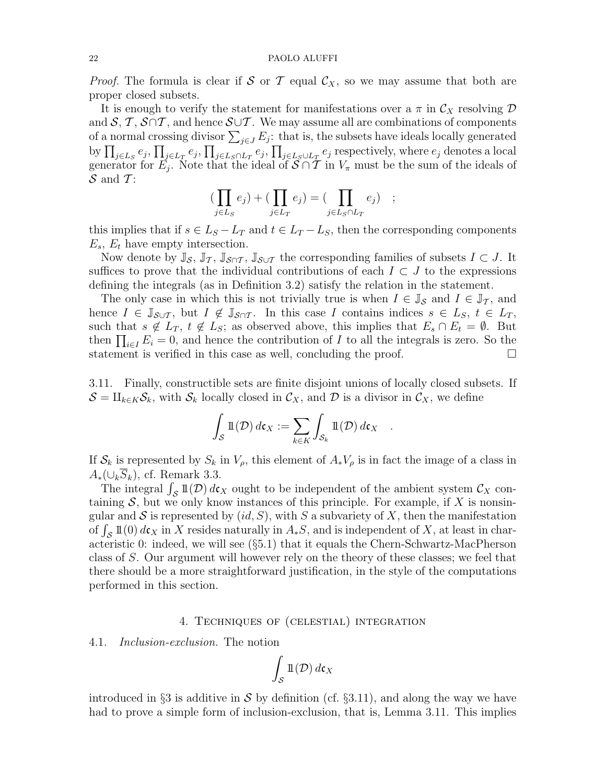*Proof.* The formula is clear if S or T equal  $\mathcal{C}_X$ , so we may assume that both are proper closed subsets.

It is enough to verify the statement for manifestations over a  $\pi$  in  $\mathcal{C}_X$  resolving  $\mathcal D$ and  $S, T, S \cap T$ , and hence  $S \cup T$ . We may assume all are combinations of components of a normal crossing divisor  $\sum_{j\in J} E_j$ : that is, the subsets have ideals locally generated by  $\prod_{j\in L_S}e_j,\prod_{j\in L_T}e_j,\prod_{j\in L_S\cap L_T}e_j,\prod_{j\in L_S\cup L_T}e_j$  respectively, where  $e_j$  denotes a local generator for  $E_j$ . Note that the ideal of  $S \cap T$  in  $V_\pi$  must be the sum of the ideals of  $S$  and T:

$$
\left(\prod_{j\in L_S}e_j\right) + \left(\prod_{j\in L_T}e_j\right) = \left(\prod_{j\in L_S \cap L_T}e_j\right) ;
$$

this implies that if  $s \in L_S - L_T$  and  $t \in L_T - L_S$ , then the corresponding components  $E_s$ ,  $E_t$  have empty intersection.

Now denote by  $\mathbb{J}_{\mathcal{S}}, \mathbb{J}_{\mathcal{T}}, \mathbb{J}_{\mathcal{S}\cap\mathcal{T}}, \mathbb{J}_{\mathcal{S}\cup\mathcal{T}}$  the corresponding families of subsets  $I \subset J$ . It suffices to prove that the individual contributions of each  $I \subset J$  to the expressions defining the integrals (as in Definition 3.2) satisfy the relation in the statement.

The only case in which this is not trivially true is when  $I \in \mathbb{J}_{\mathcal{S}}$  and  $I \in \mathbb{J}_{\mathcal{T}}$ , and hence  $I \in \mathbb{J}_{\mathcal{S} \cup \mathcal{T}}$ , but  $I \notin \mathbb{J}_{\mathcal{S} \cap \mathcal{T}}$ . In this case I contains indices  $s \in L_S$ ,  $t \in L_T$ , such that  $s \notin L_T$ ,  $t \notin L_S$ ; as observed above, this implies that  $E_s \cap E_t = \emptyset$ . But then  $\prod_{i\in I} E_i = 0$ , and hence the contribution of I to all the integrals is zero. So the statement is verified in this case as well, concluding the proof.  $\Box$ 

3.11. Finally, constructible sets are finite disjoint unions of locally closed subsets. If  $S = \coprod_{k \in K} S_k$ , with  $S_k$  locally closed in  $\mathcal{C}_X$ , and D is a divisor in  $\mathcal{C}_X$ , we define

$$
\int_{\mathcal{S}} \mathbb{1}(\mathcal{D}) d\mathfrak{c}_X := \sum_{k \in K} \int_{\mathcal{S}_k} \mathbb{1}(\mathcal{D}) d\mathfrak{c}_X .
$$

If  $S_k$  is represented by  $S_k$  in  $V_\rho$ , this element of  $A_*V_\rho$  is in fact the image of a class in  $A_*(\cup_k S_k)$ , cf. Remark 3.3.

The integral  $\int_{\mathcal{S}} \mathbb{1}(\mathcal{D}) d\mathfrak{c}_X$  ought to be independent of the ambient system  $\mathcal{C}_X$  containing  $S$ , but we only know instances of this principle. For example, if X is nonsingular and S is represented by  $(id, S)$ , with S a subvariety of X, then the manifestation of  $\int_{\mathcal{S}} 1\mathbb{1}(0) d\mathfrak{c}_X$  in X resides naturally in  $A_*S$ , and is independent of X, at least in characteristic 0: indeed, we will see (§5.1) that it equals the Chern-Schwartz-MacPherson class of S. Our argument will however rely on the theory of these classes; we feel that there should be a more straightforward justification, in the style of the computations performed in this section.

### 4. Techniques of (celestial) integration

4.1. Inclusion-exclusion. The notion

$$
\int_{\mathcal{S}} \mathbb{1}(\mathcal{D}) \, d\mathfrak{c}_X
$$

introduced in §3 is additive in S by definition (cf. §3.11), and along the way we have had to prove a simple form of inclusion-exclusion, that is, Lemma 3.11. This implies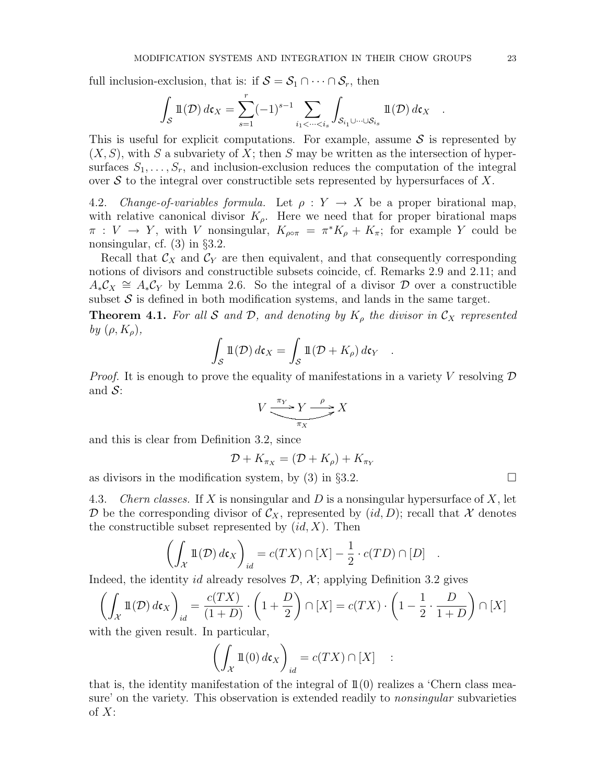full inclusion-exclusion, that is: if  $S = S_1 \cap \cdots \cap S_r$ , then

$$
\int_{\mathcal{S}} \mathbb{1}(\mathcal{D}) d\mathfrak{c}_X = \sum_{s=1}^r (-1)^{s-1} \sum_{i_1 < \dots < i_s} \int_{\mathcal{S}_{i_1} \cup \dots \cup \mathcal{S}_{i_s}} \mathbb{1}(\mathcal{D}) d\mathfrak{c}_X.
$$

This is useful for explicit computations. For example, assume  $S$  is represented by  $(X, S)$ , with S a subvariety of X; then S may be written as the intersection of hypersurfaces  $S_1, \ldots, S_r$ , and inclusion-exclusion reduces the computation of the integral over  $\mathcal S$  to the integral over constructible sets represented by hypersurfaces of X.

4.2. Change-of-variables formula. Let  $\rho: Y \to X$  be a proper birational map, with relative canonical divisor  $K_{\rho}$ . Here we need that for proper birational maps  $\pi: V \to Y$ , with V nonsingular,  $K_{\rho \circ \pi} = \pi^* K_{\rho} + K_{\pi}$ ; for example Y could be nonsingular, cf. (3) in §3.2.

Recall that  $\mathcal{C}_X$  and  $\mathcal{C}_Y$  are then equivalent, and that consequently corresponding notions of divisors and constructible subsets coincide, cf. Remarks 2.9 and 2.11; and  $A_*C_X \cong A_*C_Y$  by Lemma 2.6. So the integral of a divisor  $D$  over a constructible subset  $S$  is defined in both modification systems, and lands in the same target.

**Theorem 4.1.** For all S and D, and denoting by  $K_{\rho}$  the divisor in  $\mathcal{C}_X$  represented by  $(\rho, K_{\rho}),$ 

$$
\int_{S} \mathbb{1}(\mathcal{D}) d\mathfrak{c}_X = \int_{S} \mathbb{1}(\mathcal{D} + K_{\rho}) d\mathfrak{c}_Y .
$$

*Proof.* It is enough to prove the equality of manifestations in a variety V resolving  $\mathcal D$ and  $S$ :

$$
V \xrightarrow{\pi_Y} Y \xrightarrow{\rho} X
$$

and this is clear from Definition 3.2, since

$$
\mathcal{D} + K_{\pi_X} = (\mathcal{D} + K_{\rho}) + K_{\pi_Y}
$$

as divisors in the modification system, by (3) in §3.2.  $\Box$ 

4.3. Chern classes. If X is nonsingular and D is a nonsingular hypersurface of  $X$ , let D be the corresponding divisor of  $\mathcal{C}_X$ , represented by  $(id, D)$ ; recall that X denotes the constructible subset represented by  $(id, X)$ . Then

$$
\left(\int_{\mathcal{X}} \mathbb{1}(\mathcal{D}) d\mathfrak{c}_X\right)_{id} = c(TX) \cap [X] - \frac{1}{2} \cdot c(TD) \cap [D] .
$$

Indeed, the identity id already resolves  $\mathcal{D}, \mathcal{X}$ ; applying Definition 3.2 gives

$$
\left(\int_{\mathcal{X}} \mathbb{1}(\mathcal{D}) d\mathfrak{c}_X\right)_{id} = \frac{c(TX)}{(1+D)} \cdot \left(1 + \frac{D}{2}\right) \cap [X] = c(TX) \cdot \left(1 - \frac{1}{2} \cdot \frac{D}{1+D}\right) \cap [X]
$$

with the given result. In particular,

$$
\left(\int_{\mathcal{X}} \mathbb{1}(0) \, d\mathfrak{c}_X\right)_{id} = c(TX) \cap [X] \quad :
$$

that is, the identity manifestation of the integral of  $\mathbb{1}(0)$  realizes a 'Chern class measure' on the variety. This observation is extended readily to *nonsingular* subvarieties of  $X$ :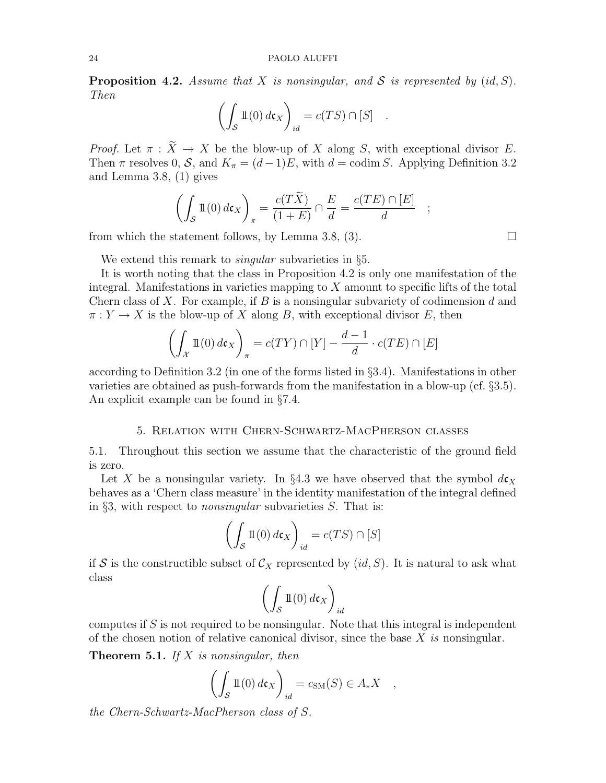**Proposition 4.2.** Assume that X is nonsingular, and S is represented by  $(id, S)$ . Then

$$
\left(\int_{\mathcal{S}} \mathbb{1}(0) \, d\mathfrak{c}_X\right)_{id} = c(TS) \cap [S] \quad .
$$

*Proof.* Let  $\pi : \widetilde{X} \to X$  be the blow-up of X along S, with exceptional divisor E. Then  $\pi$  resolves 0, S, and  $K_{\pi} = (d-1)E$ , with  $d = \text{codim } S$ . Applying Definition 3.2 and Lemma 3.8, (1) gives

$$
\left(\int_{\mathcal{S}} \mathbb{1}(0) \, d\mathfrak{c}_X\right)_{\pi} = \frac{c(T\widetilde{X})}{(1+E)} \cap \frac{E}{d} = \frac{c(TE) \cap [E]}{d}
$$

from which the statement follows, by Lemma 3.8, (3).  $\square$ 

We extend this remark to *singular* subvarieties in §5.

It is worth noting that the class in Proposition 4.2 is only one manifestation of the integral. Manifestations in varieties mapping to  $X$  amount to specific lifts of the total Chern class of X. For example, if B is a nonsingular subvariety of codimension  $d$  and  $\pi: Y \to X$  is the blow-up of X along B, with exceptional divisor E, then

$$
\left(\int_{\mathcal{X}} \mathbb{1}(0) \, d\mathfrak{c}_X\right)_{\pi} = c(TY) \cap [Y] - \frac{d-1}{d} \cdot c(TE) \cap [E]
$$

according to Definition 3.2 (in one of the forms listed in §3.4). Manifestations in other varieties are obtained as push-forwards from the manifestation in a blow-up (cf. §3.5). An explicit example can be found in §7.4.

### 5. Relation with Chern-Schwartz-MacPherson classes

5.1. Throughout this section we assume that the characteristic of the ground field is zero.

Let X be a nonsingular variety. In §4.3 we have observed that the symbol  $d\mathbf{c}_x$ behaves as a 'Chern class measure' in the identity manifestation of the integral defined in §3, with respect to nonsingular subvarieties S. That is:

$$
\left(\int_{\mathcal{S}} \mathbb{1}(0) \, d\mathfrak{c}_X\right)_{id} = c(TS) \cap [S]
$$

if S is the constructible subset of  $\mathcal{C}_X$  represented by  $(id, S)$ . It is natural to ask what class

$$
\left(\int_{\mathcal{S}} \mathbb{1}(0) \, d\mathfrak{c}_X\right)_{id}
$$

computes if  $S$  is not required to be nonsingular. Note that this integral is independent of the chosen notion of relative canonical divisor, since the base  $X$  is nonsingular.

**Theorem 5.1.** If X is nonsingular, then

$$
\left(\int_{\mathcal{S}} \mathbb{1}(0) \, d\mathfrak{c}_X\right)_{id} = c_{\mathrm{SM}}(S) \in A_* X \quad ,
$$

the Chern-Schwartz-MacPherson class of S.

;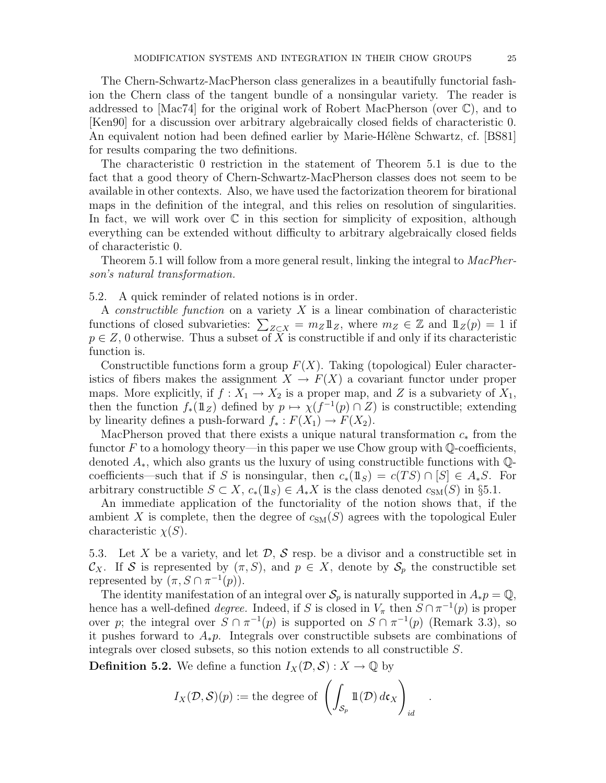The Chern-Schwartz-MacPherson class generalizes in a beautifully functorial fashion the Chern class of the tangent bundle of a nonsingular variety. The reader is addressed to  $\text{[Mac74]}$  for the original work of Robert MacPherson (over  $\mathbb{C}$ ), and to [Ken90] for a discussion over arbitrary algebraically closed fields of characteristic 0. An equivalent notion had been defined earlier by Marie-Hélène Schwartz, cf. [BS81] for results comparing the two definitions.

The characteristic 0 restriction in the statement of Theorem 5.1 is due to the fact that a good theory of Chern-Schwartz-MacPherson classes does not seem to be available in other contexts. Also, we have used the factorization theorem for birational maps in the definition of the integral, and this relies on resolution of singularities. In fact, we will work over  $\mathbb C$  in this section for simplicity of exposition, although everything can be extended without difficulty to arbitrary algebraically closed fields of characteristic 0.

Theorem 5.1 will follow from a more general result, linking the integral to *MacPher*son's natural transformation.

5.2. A quick reminder of related notions is in order.

A *constructible function* on a variety  $X$  is a linear combination of characteristic functions of closed subvarieties:  $\sum_{Z \subset X} = m_Z \mathbb{1}_Z$ , where  $m_Z \in \mathbb{Z}$  and  $\mathbb{1}_Z(p) = 1$  if  $p \in \mathbb{Z}$ , 0 otherwise. Thus a subset of X is constructible if and only if its characteristic function is.

Constructible functions form a group  $F(X)$ . Taking (topological) Euler characteristics of fibers makes the assignment  $X \to F(X)$  a covariant functor under proper maps. More explicitly, if  $f: X_1 \to X_2$  is a proper map, and Z is a subvariety of  $X_1$ , then the function  $f_*(1\mathbb{1}_Z)$  defined by  $p \mapsto \chi(f^{-1}(p) \cap Z)$  is constructible; extending by linearity defines a push-forward  $f_* : F(X_1) \to F(X_2)$ .

MacPherson proved that there exists a unique natural transformation  $c_*$  from the functor F to a homology theory—in this paper we use Chow group with  $\mathbb{Q}$ -coefficients, denoted  $A_*$ , which also grants us the luxury of using constructible functions with  $\mathbb{Q}$ coefficients—such that if S is nonsingular, then  $c_*(1\!\!1_S) = c(TS) \cap [S] \in A_*S$ . For arbitrary constructible  $S \subset X$ ,  $c_*(1\!\!1_S) \in A_*X$  is the class denoted  $c_{\text{SM}}(S)$  in §5.1.

An immediate application of the functoriality of the notion shows that, if the ambient X is complete, then the degree of  $c_{SM}(S)$  agrees with the topological Euler characteristic  $\chi(S)$ .

5.3. Let X be a variety, and let  $\mathcal{D}, \mathcal{S}$  resp. be a divisor and a constructible set in  $\mathcal{C}_X$ . If S is represented by  $(\pi, S)$ , and  $p \in X$ , denote by  $\mathcal{S}_p$  the constructible set represented by  $(\pi, S \cap \pi^{-1}(p)).$ 

The identity manifestation of an integral over  $\mathcal{S}_p$  is naturally supported in  $A_*p = \mathbb{Q}$ , hence has a well-defined *degree*. Indeed, if S is closed in  $V_{\pi}$  then  $S \cap \pi^{-1}(p)$  is proper over p; the integral over  $S \cap \pi^{-1}(p)$  is supported on  $S \cap \pi^{-1}(p)$  (Remark 3.3), so it pushes forward to  $A_*p$ . Integrals over constructible subsets are combinations of integrals over closed subsets, so this notion extends to all constructible S.

**Definition 5.2.** We define a function  $I_X(\mathcal{D}, \mathcal{S}) : X \to \mathbb{Q}$  by

$$
I_X(\mathcal{D}, \mathcal{S})(p) := \text{the degree of } \left( \int_{\mathcal{S}_p} \mathbb{1}(\mathcal{D}) d\mathfrak{c}_X \right)_{id}
$$

.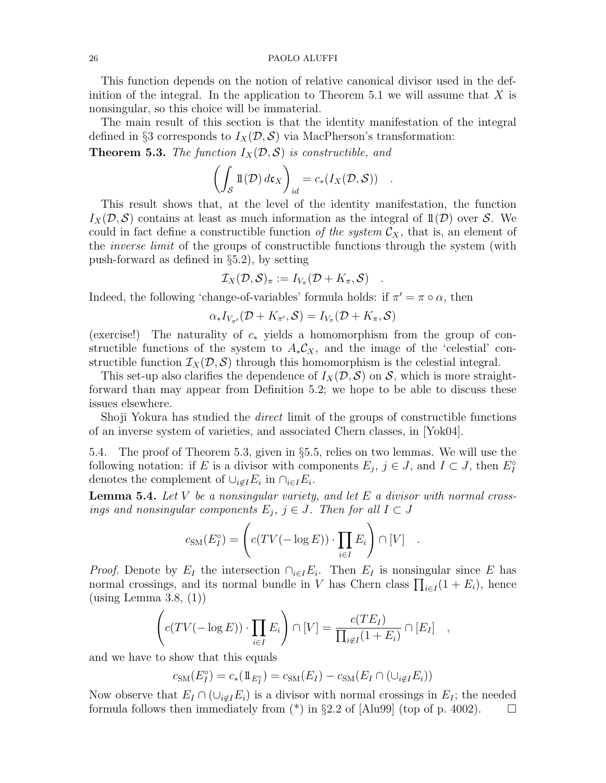This function depends on the notion of relative canonical divisor used in the definition of the integral. In the application to Theorem 5.1 we will assume that  $X$  is nonsingular, so this choice will be immaterial.

The main result of this section is that the identity manifestation of the integral defined in §3 corresponds to  $I_X(\mathcal{D}, \mathcal{S})$  via MacPherson's transformation:

**Theorem 5.3.** The function  $I_X(\mathcal{D}, \mathcal{S})$  is constructible, and

$$
\left(\int_{\mathcal{S}} \mathbb{1}(\mathcal{D}) d\mathfrak{c}_X\right)_{id} = c_*(I_X(\mathcal{D}, \mathcal{S})) .
$$

This result shows that, at the level of the identity manifestation, the function  $I_X(\mathcal{D}, \mathcal{S})$  contains at least as much information as the integral of  $\mathbb{1}(\mathcal{D})$  over S. We could in fact define a constructible function of the system  $\mathcal{C}_X$ , that is, an element of the *inverse limit* of the groups of constructible functions through the system (with push-forward as defined in §5.2), by setting

$$
\mathcal{I}_X(\mathcal{D}, \mathcal{S})_{\pi} := I_{V_{\pi}}(\mathcal{D} + K_{\pi}, \mathcal{S}) \quad .
$$

Indeed, the following 'change-of-variables' formula holds: if  $\pi' = \pi \circ \alpha$ , then

$$
\alpha_* I_{V_{\pi'}}(\mathcal{D} + K_{\pi'}, \mathcal{S}) = I_{V_{\pi}}(\mathcal{D} + K_{\pi}, \mathcal{S})
$$

(exercise!) The naturality of  $c_*$  yields a homomorphism from the group of constructible functions of the system to  $A_*\mathcal{C}_X$ , and the image of the 'celestial' constructible function  $\mathcal{I}_X(\mathcal{D}, \mathcal{S})$  through this homomorphism is the celestial integral.

This set-up also clarifies the dependence of  $I_X(\mathcal{D}, \mathcal{S})$  on  $\mathcal{S}$ , which is more straightforward than may appear from Definition 5.2; we hope to be able to discuss these issues elsewhere.

Shoji Yokura has studied the direct limit of the groups of constructible functions of an inverse system of varieties, and associated Chern classes, in [Yok04].

5.4. The proof of Theorem 5.3, given in §5.5, relies on two lemmas. We will use the following notation: if E is a divisor with components  $E_j$ ,  $j \in J$ , and  $I \subset J$ , then  $E_I^{\circ}$ I denotes the complement of  $\cup_{i \notin I} E_i$  in  $\cap_{i \in I} E_i$ .

**Lemma 5.4.** Let V be a nonsingular variety, and let E a divisor with normal crossings and nonsingular components  $E_j$ ,  $j \in J$ . Then for all  $I \subset J$ 

$$
c_{\rm SM}(E_I^{\circ}) = \left( c(TV(-\log E)) \cdot \prod_{i \in I} E_i \right) \cap [V] .
$$

*Proof.* Denote by  $E_I$  the intersection  $\bigcap_{i\in I} E_i$ . Then  $E_I$  is nonsingular since E has normal crossings, and its normal bundle in V has Chern class  $\prod_{i \in I} (1 + E_i)$ , hence (using Lemma 3.8, (1))

$$
\left(c(TV(-\log E))\cdot \prod_{i\in I} E_i\right) \cap [V] = \frac{c(TE_I)}{\prod_{i\not\in I} (1+E_i)} \cap [E_I] \quad ,
$$

and we have to show that this equals

$$
c_{\mathrm{SM}}(E_I^{\circ}) = c_*(1\!\!1_{E_I^{\circ}}) = c_{\mathrm{SM}}(E_I) - c_{\mathrm{SM}}(E_I \cap (\cup_{i \notin I} E_i))
$$

Now observe that  $E_I \cap (\cup_{i \notin I} E_i)$  is a divisor with normal crossings in  $E_I$ ; the needed formula follows then immediately from  $(*)$  in §2.2 of [Alu99] (top of p. 4002).  $\Box$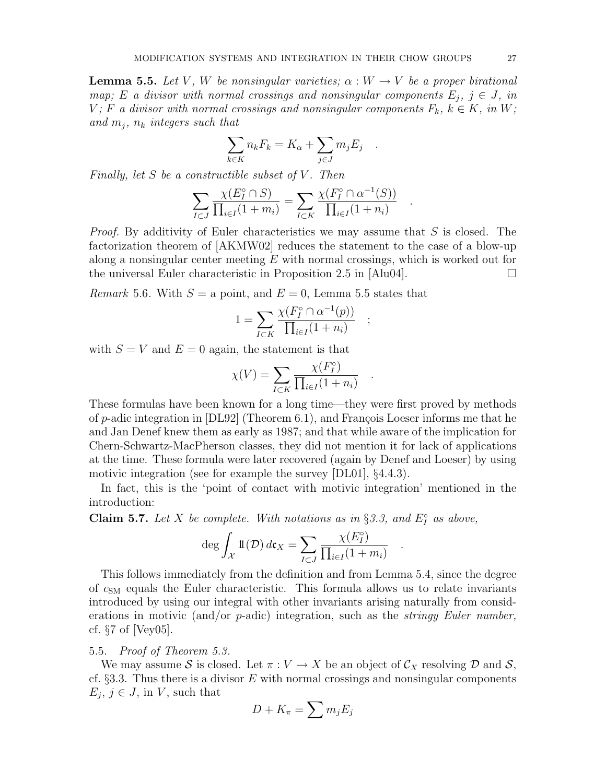**Lemma 5.5.** Let V, W be nonsingular varieties;  $\alpha : W \to V$  be a proper birational map; E a divisor with normal crossings and nonsingular components  $E_i$ ,  $j \in J$ , in  $V$ ; F a divisor with normal crossings and nonsingular components  $F_k$ ,  $k \in K$ , in W; and  $m_i$ ,  $n_k$  integers such that

$$
\sum_{k \in K} n_k F_k = K_{\alpha} + \sum_{j \in J} m_j E_j
$$

.

;

.

.

.

Finally, let  $S$  be a constructible subset of  $V$ . Then

$$
\sum_{I \subset J} \frac{\chi(E_I^\circ \cap S)}{\prod_{i \in I} (1 + m_i)} = \sum_{I \subset K} \frac{\chi(F_I^\circ \cap \alpha^{-1}(S))}{\prod_{i \in I} (1 + n_i)}
$$

*Proof.* By additivity of Euler characteristics we may assume that  $S$  is closed. The factorization theorem of [AKMW02] reduces the statement to the case of a blow-up along a nonsingular center meeting  $E$  with normal crossings, which is worked out for the universal Euler characteristic in Proposition 2.5 in [Alu04].  $\Box$ 

*Remark* 5.6. With  $S = a$  point, and  $E = 0$ , Lemma 5.5 states that

$$
1 = \sum_{I \subset K} \frac{\chi(F_I^{\circ} \cap \alpha^{-1}(p))}{\prod_{i \in I} (1 + n_i)}
$$

with  $S = V$  and  $E = 0$  again, the statement is that

$$
\chi(V) = \sum_{I \subset K} \frac{\chi(F_I^{\circ})}{\prod_{i \in I} (1 + n_i)}
$$

These formulas have been known for a long time—they were first proved by methods of p-adic integration in  $[DL92]$  (Theorem 6.1), and François Loeser informs me that he and Jan Denef knew them as early as 1987; and that while aware of the implication for Chern-Schwartz-MacPherson classes, they did not mention it for lack of applications at the time. These formula were later recovered (again by Denef and Loeser) by using motivic integration (see for example the survey [DL01], §4.4.3).

In fact, this is the 'point of contact with motivic integration' mentioned in the introduction:

**Claim 5.7.** Let X be complete. With notations as in §3.3, and  $E_I^{\circ}$  $I^{\circ}$  as above,

$$
\deg \int_{\mathcal{X}} \mathbb{1}(\mathcal{D}) d\mathfrak{c}_X = \sum_{I \subset J} \frac{\chi(E_I^{\circ})}{\prod_{i \in I} (1 + m_i)}
$$

This follows immediately from the definition and from Lemma 5.4, since the degree of  $c_{SM}$  equals the Euler characteristic. This formula allows us to relate invariants introduced by using our integral with other invariants arising naturally from considerations in motivic (and/or  $p$ -adic) integration, such as the *stringy Euler number*, cf. §7 of [Vey05].

# 5.5. Proof of Theorem 5.3.

We may assume S is closed. Let  $\pi: V \to X$  be an object of  $\mathcal{C}_X$  resolving D and S, cf.  $\S 3.3$ . Thus there is a divisor E with normal crossings and nonsingular components  $E_j, j \in J$ , in V, such that

$$
D+K_{\pi}=\sum m_j E_j
$$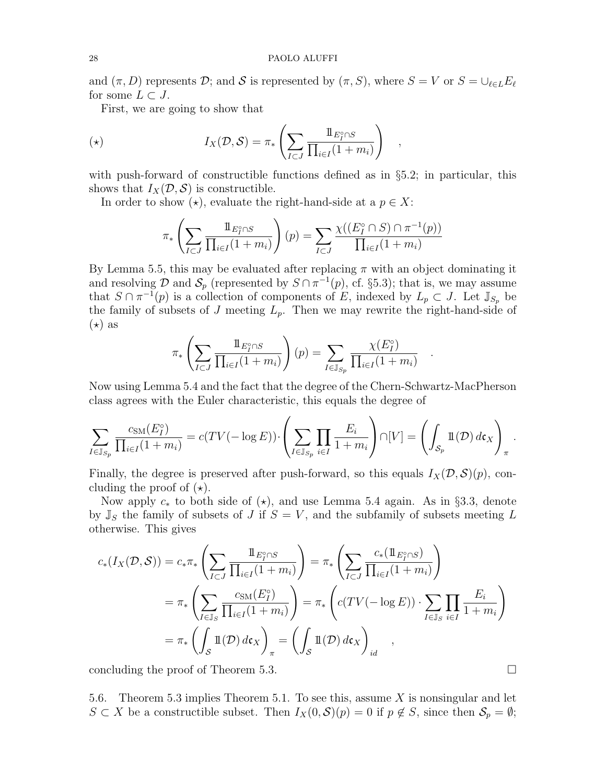and  $(\pi, D)$  represents D; and S is represented by  $(\pi, S)$ , where  $S = V$  or  $S = \bigcup_{\ell \in L} E_{\ell}$ for some  $L \subset J$ .

First, we are going to show that

$$
I_X(\mathcal{D}, \mathcal{S}) = \pi_* \left( \sum_{I \subset J} \frac{1 \mathbb{1}_{E_I^{\circ} \cap S}}{\prod_{i \in I} (1 + m_i)} \right) ,
$$

with push-forward of constructible functions defined as in §5.2; in particular, this shows that  $I_X(\mathcal{D}, \mathcal{S})$  is constructible.

In order to show  $(\star)$ , evaluate the right-hand-side at a  $p \in X$ :

$$
\pi_* \left( \sum_{I \subset J} \frac{1 \, E_I^{\circ} \cap S}{\prod_{i \in I} (1 + m_i)} \right) (p) = \sum_{I \subset J} \frac{\chi((E_I^{\circ} \cap S) \cap \pi^{-1}(p))}{\prod_{i \in I} (1 + m_i)}
$$

By Lemma 5.5, this may be evaluated after replacing  $\pi$  with an object dominating it and resolving  $\mathcal D$  and  $\mathcal S_p$  (represented by  $S \cap \pi^{-1}(p)$ , cf. §5.3); that is, we may assume that  $S \cap \pi^{-1}(p)$  is a collection of components of E, indexed by  $L_p \subset J$ . Let  $\mathbb{J}_{S_p}$  be the family of subsets of J meeting  $L_p$ . Then we may rewrite the right-hand-side of  $(\star)$  as

$$
\pi_* \left( \sum_{I \subset J} \frac{1 \mathbb{1}_{E_I^{\circ} \cap S}}{\prod_{i \in I} (1 + m_i)} \right) (p) = \sum_{I \in \mathbb{J}_{S_p}} \frac{\chi(E_I^{\circ})}{\prod_{i \in I} (1 + m_i)}
$$

.

Now using Lemma 5.4 and the fact that the degree of the Chern-Schwartz-MacPherson class agrees with the Euler characteristic, this equals the degree of

$$
\sum_{I \in \mathbb{J}_{S_p}} \frac{c_{\text{SM}}(E_I^{\circ})}{\prod_{i \in I} (1 + m_i)} = c(TV(-\log E)) \cdot \left( \sum_{I \in \mathbb{J}_{S_p}} \prod_{i \in I} \frac{E_i}{1 + m_i} \right) \cap [V] = \left( \int_{S_p} \mathbb{1}(D) d\mathfrak{c}_X \right)_{\pi}.
$$

Finally, the degree is preserved after push-forward, so this equals  $I_X(\mathcal{D}, \mathcal{S})(p)$ , concluding the proof of  $(\star)$ .

Now apply  $c_*$  to both side of  $(\star)$ , and use Lemma 5.4 again. As in §3.3, denote by  $\mathbb{J}_S$  the family of subsets of J if  $S = V$ , and the subfamily of subsets meeting L otherwise. This gives

$$
c_{*}(I_{X}(\mathcal{D}, \mathcal{S})) = c_{*}\pi_{*} \left( \sum_{I \subset J} \frac{\mathbb{1}_{E_{I}^{\circ} \cap S}}{\prod_{i \in I} (1 + m_{i})} \right) = \pi_{*} \left( \sum_{I \subset J} \frac{c_{*}(\mathbb{1}_{E_{I}^{\circ} \cap S})}{\prod_{i \in I} (1 + m_{i})} \right)
$$
  

$$
= \pi_{*} \left( \sum_{I \in \mathbb{J}_{S}} \frac{c_{\text{SM}}(E_{I}^{\circ})}{\prod_{i \in I} (1 + m_{i})} \right) = \pi_{*} \left( c(TV(-\log E)) \cdot \sum_{I \in \mathbb{J}_{S}} \prod_{i \in I} \frac{E_{i}}{1 + m_{i}} \right)
$$
  

$$
= \pi_{*} \left( \int_{\mathcal{S}} \mathbb{1}(\mathcal{D}) d\mathfrak{c}_{X} \right)_{\pi} = \left( \int_{\mathcal{S}} \mathbb{1}(\mathcal{D}) d\mathfrak{c}_{X} \right)_{id} ,
$$

concluding the proof of Theorem 5.3.

5.6. Theorem 5.3 implies Theorem 5.1. To see this, assume  $X$  is nonsingular and let  $S \subset X$  be a constructible subset. Then  $I_X(0, \mathcal{S})(p) = 0$  if  $p \notin S$ , since then  $\mathcal{S}_p = \emptyset$ ;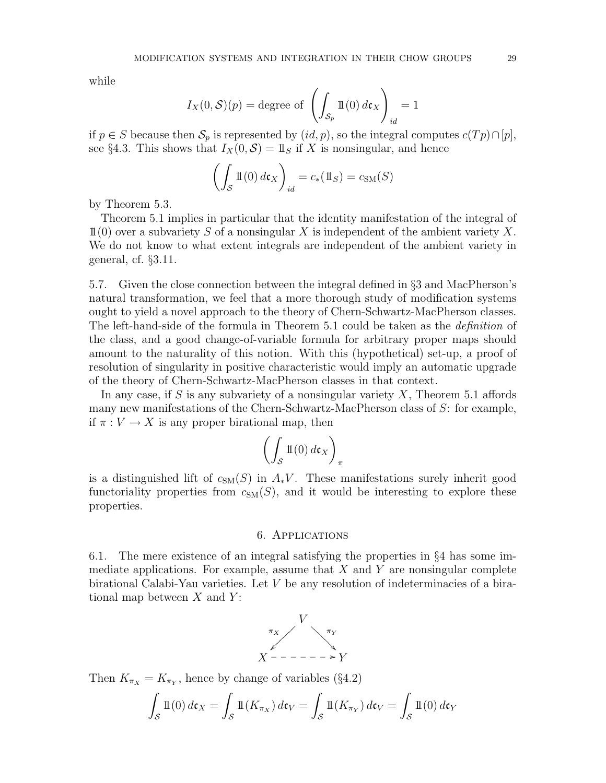while

$$
I_X(0, S)(p) = \text{degree of } \left( \int_{\mathcal{S}_p} \mathbb{1}(0) \, d\mathfrak{c}_X \right)_{id} = 1
$$

if  $p \in S$  because then  $\mathcal{S}_p$  is represented by  $(id, p)$ , so the integral computes  $c(Tp) \cap [p],$ see §4.3. This shows that  $I_X(0, \mathcal{S}) = 1\!\!1_S$  if X is nonsingular, and hence

$$
\left(\int_{\mathcal{S}} \mathbb{1}(0) \, d\mathfrak{c}_X\right)_{id} = c_*(1\!\!1_S) = c_{\text{SM}}(S)
$$

by Theorem 5.3.

Theorem 5.1 implies in particular that the identity manifestation of the integral of  $11(0)$  over a subvariety S of a nonsingular X is independent of the ambient variety X. We do not know to what extent integrals are independent of the ambient variety in general, cf. §3.11.

5.7. Given the close connection between the integral defined in §3 and MacPherson's natural transformation, we feel that a more thorough study of modification systems ought to yield a novel approach to the theory of Chern-Schwartz-MacPherson classes. The left-hand-side of the formula in Theorem 5.1 could be taken as the *definition* of the class, and a good change-of-variable formula for arbitrary proper maps should amount to the naturality of this notion. With this (hypothetical) set-up, a proof of resolution of singularity in positive characteristic would imply an automatic upgrade of the theory of Chern-Schwartz-MacPherson classes in that context.

In any case, if S is any subvariety of a nonsingular variety  $X$ , Theorem 5.1 affords many new manifestations of the Chern-Schwartz-MacPherson class of  $S$ : for example, if  $\pi: V \to X$  is any proper birational map, then

$$
\left(\int_{\mathcal{S}} \mathbb{1}(0) \, d\mathfrak{c}_X\right)_{\pi}
$$

is a distinguished lift of  $c<sub>SM</sub>(S)$  in  $A<sub>*</sub>V$ . These manifestations surely inherit good functoriality properties from  $c_{SM}(S)$ , and it would be interesting to explore these properties.

### 6. Applications

6.1. The mere existence of an integral satisfying the properties in §4 has some immediate applications. For example, assume that  $X$  and  $Y$  are nonsingular complete birational Calabi-Yau varieties. Let  $V$  be any resolution of indeterminacies of a birational map between  $X$  and  $Y$ :

$$
\begin{array}{c}\nV \\
\pi_X \\
X \end{array}
$$

Then  $K_{\pi_X} = K_{\pi_Y}$ , hence by change of variables (§4.2)

$$
\int_{S} \mathbb{1}(0) d\mathfrak{c}_X = \int_{S} \mathbb{1}(K_{\pi_X}) d\mathfrak{c}_V = \int_{S} \mathbb{1}(K_{\pi_Y}) d\mathfrak{c}_V = \int_{S} \mathbb{1}(0) d\mathfrak{c}_Y
$$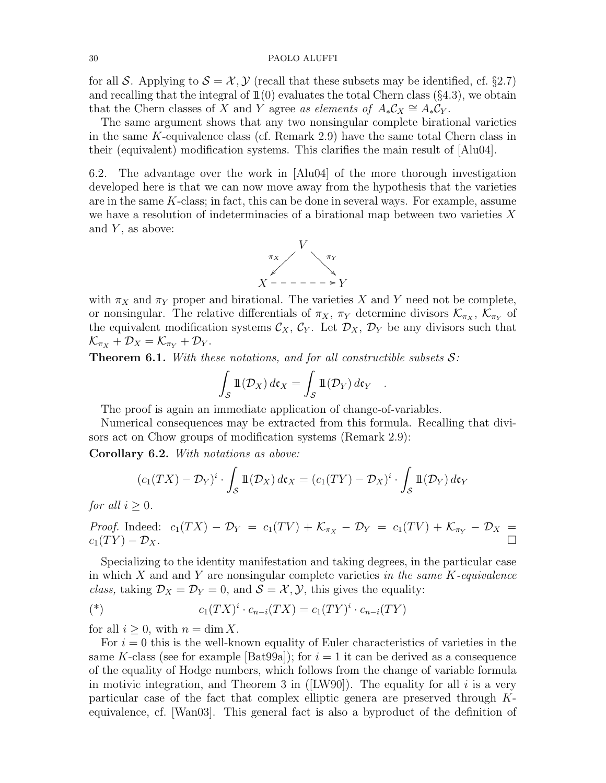#### 30 PAOLO ALUFFI

for all S. Applying to  $S = \mathcal{X}, \mathcal{Y}$  (recall that these subsets may be identified, cf. §2.7) and recalling that the integral of  $\mathbb{1}(0)$  evaluates the total Chern class (§4.3), we obtain that the Chern classes of X and Y agree as elements of  $A_*C_X \cong A_*C_Y$ .

The same argument shows that any two nonsingular complete birational varieties in the same K-equivalence class (cf. Remark 2.9) have the same total Chern class in their (equivalent) modification systems. This clarifies the main result of [Alu04].

6.2. The advantage over the work in [Alu04] of the more thorough investigation developed here is that we can now move away from the hypothesis that the varieties are in the same K-class; in fact, this can be done in several ways. For example, assume we have a resolution of indeterminacies of a birational map between two varieties  $X$ and  $Y$ , as above:



with  $\pi_X$  and  $\pi_Y$  proper and birational. The varieties X and Y need not be complete, or nonsingular. The relative differentials of  $\pi_X$ ,  $\pi_Y$  determine divisors  $\mathcal{K}_{\pi_X}$ ,  $\mathcal{K}_{\pi_Y}$  of the equivalent modification systems  $\mathcal{C}_X$ ,  $\mathcal{C}_Y$ . Let  $\mathcal{D}_X$ ,  $\mathcal{D}_Y$  be any divisors such that  $\mathcal{K}_{\pi_X} + \mathcal{D}_X = \mathcal{K}_{\pi_Y} + \mathcal{D}_Y.$ 

**Theorem 6.1.** With these notations, and for all constructible subsets  $S$ :

$$
\int_{S} \mathbb{1}(\mathcal{D}_X) d\mathfrak{c}_X = \int_{S} \mathbb{1}(\mathcal{D}_Y) d\mathfrak{c}_Y .
$$

The proof is again an immediate application of change-of-variables.

Numerical consequences may be extracted from this formula. Recalling that divisors act on Chow groups of modification systems (Remark 2.9):

Corollary 6.2. With notations as above:

$$
(c_1(TX) - \mathcal{D}_Y)^i \cdot \int_{\mathcal{S}} \mathbb{1}(\mathcal{D}_X) d\mathfrak{c}_X = (c_1(TY) - \mathcal{D}_X)^i \cdot \int_{\mathcal{S}} \mathbb{1}(\mathcal{D}_Y) d\mathfrak{c}_Y
$$

for all  $i \geq 0$ .

*Proof.* Indeed: 
$$
c_1(TX) - \mathcal{D}_Y = c_1(TV) + \mathcal{K}_{\pi_X} - \mathcal{D}_Y = c_1(TV) + \mathcal{K}_{\pi_Y} - \mathcal{D}_X = c_1(TY) - \mathcal{D}_X.
$$

Specializing to the identity manifestation and taking degrees, in the particular case in which  $X$  and and  $Y$  are nonsingular complete varieties in the same  $K$ -equivalence class, taking  $\mathcal{D}_X = \mathcal{D}_Y = 0$ , and  $\mathcal{S} = \mathcal{X}, \mathcal{Y}$ , this gives the equality:

(\*) 
$$
c_1(TX)^i \cdot c_{n-i}(TX) = c_1(TY)^i \cdot c_{n-i}(TY)
$$

for all  $i \geq 0$ , with  $n = \dim X$ .

For  $i = 0$  this is the well-known equality of Euler characteristics of varieties in the same K-class (see for example  $[Bat99a]$ ); for  $i = 1$  it can be derived as a consequence of the equality of Hodge numbers, which follows from the change of variable formula in motivic integration, and Theorem 3 in ( $[LW90]$ ). The equality for all i is a very particular case of the fact that complex elliptic genera are preserved through Kequivalence, cf. [Wan03]. This general fact is also a byproduct of the definition of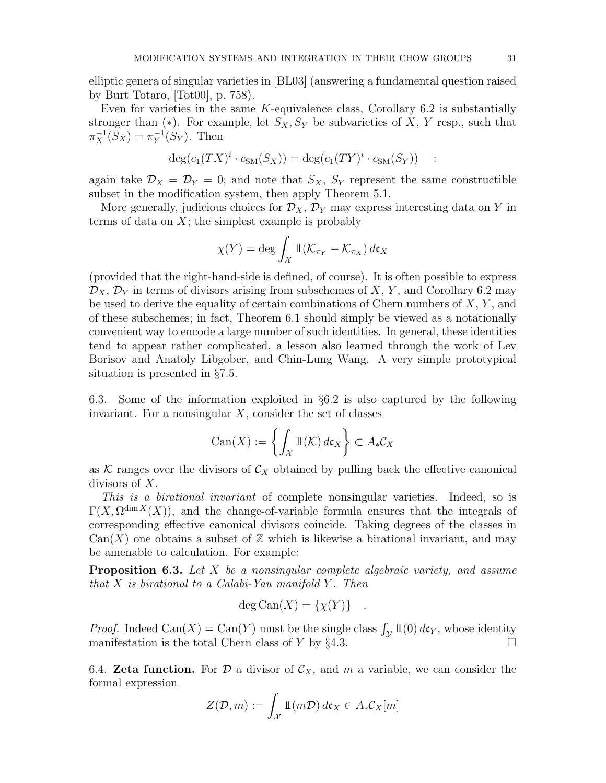elliptic genera of singular varieties in [BL03] (answering a fundamental question raised by Burt Totaro, [Tot00], p. 758).

Even for varieties in the same  $K$ -equivalence class, Corollary 6.2 is substantially stronger than  $(*)$ . For example, let  $S_X, S_Y$  be subvarieties of X, Y resp., such that  $\pi_X^{-1}(S_X) = \pi_Y^{-1}$  $_Y^{-1}(S_Y)$ . Then

$$
\deg(c_1(TX)^i \cdot c_{\text{SM}}(S_X)) = \deg(c_1(TY)^i \cdot c_{\text{SM}}(S_Y)) \quad :
$$

again take  $\mathcal{D}_X = \mathcal{D}_Y = 0$ ; and note that  $S_X$ ,  $S_Y$  represent the same constructible subset in the modification system, then apply Theorem 5.1.

More generally, judicious choices for  $\mathcal{D}_X$ ,  $\mathcal{D}_Y$  may express interesting data on Y in terms of data on  $X$ ; the simplest example is probably

$$
\chi(Y) = \deg \int_{\mathcal{X}} 1\!\mathrm{l}(\mathcal{K}_{\pi_Y} - \mathcal{K}_{\pi_X}) d\mathfrak{c}_X
$$

(provided that the right-hand-side is defined, of course). It is often possible to express  $\mathcal{D}_X$ ,  $\mathcal{D}_Y$  in terms of divisors arising from subschemes of X, Y, and Corollary 6.2 may be used to derive the equality of certain combinations of Chern numbers of  $X, Y$ , and of these subschemes; in fact, Theorem 6.1 should simply be viewed as a notationally convenient way to encode a large number of such identities. In general, these identities tend to appear rather complicated, a lesson also learned through the work of Lev Borisov and Anatoly Libgober, and Chin-Lung Wang. A very simple prototypical situation is presented in §7.5.

6.3. Some of the information exploited in §6.2 is also captured by the following invariant. For a nonsingular  $X$ , consider the set of classes

$$
\operatorname{Can}(X) := \left\{ \int_{\mathcal{X}} \mathbb{1}(\mathcal{K}) \, d\mathfrak{c}_X \right\} \subset A_* \mathcal{C}_X
$$

as K ranges over the divisors of  $\mathcal{C}_X$  obtained by pulling back the effective canonical divisors of X.

This is a birational invariant of complete nonsingular varieties. Indeed, so is  $\Gamma(X, \Omega^{\dim X}(X))$ , and the change-of-variable formula ensures that the integrals of corresponding effective canonical divisors coincide. Taking degrees of the classes in  $\text{Can}(X)$  one obtains a subset of  $\mathbb Z$  which is likewise a birational invariant, and may be amenable to calculation. For example:

**Proposition 6.3.** Let X be a nonsingular complete algebraic variety, and assume that  $X$  is birational to a Calabi-Yau manifold  $Y$ . Then

$$
\deg \text{Can}(X) = \{\chi(Y)\} .
$$

*Proof.* Indeed Can(X) = Can(Y) must be the single class  $\int_{\mathcal{V}} 1\mathbb{I}(0) d\mathfrak{c}_Y$ , whose identity manifestation is the total Chern class of Y by  $\S 4.3$ .

6.4. **Zeta function.** For D a divisor of  $\mathcal{C}_X$ , and m a variable, we can consider the formal expression

$$
Z(\mathcal{D},m) := \int_{\mathcal{X}} \mathbb{1}(m\mathcal{D}) d\mathfrak{c}_X \in A_* \mathcal{C}_X[m]
$$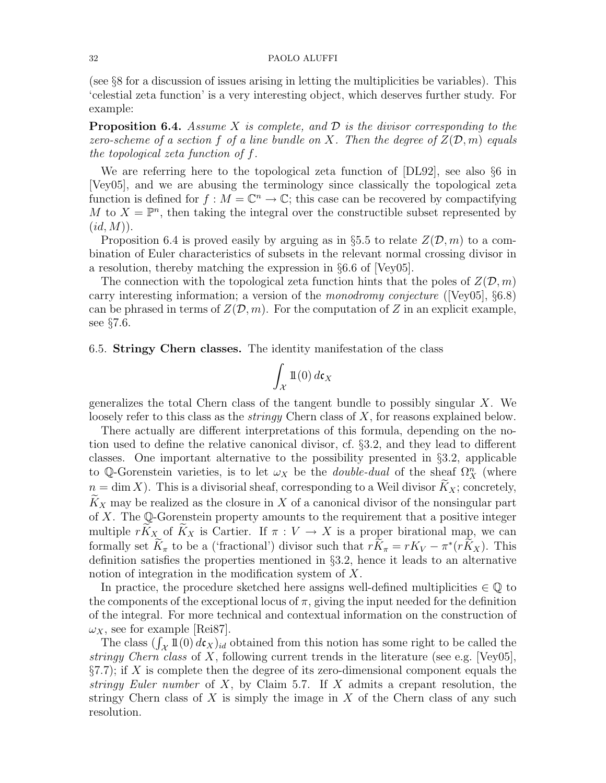### 32 PAOLO ALUFFI

(see §8 for a discussion of issues arising in letting the multiplicities be variables). This 'celestial zeta function' is a very interesting object, which deserves further study. For example:

**Proposition 6.4.** Assume X is complete, and  $\mathcal{D}$  is the divisor corresponding to the zero-scheme of a section f of a line bundle on X. Then the degree of  $Z(\mathcal{D}, m)$  equals the topological zeta function of f.

We are referring here to the topological zeta function of [DL92], see also §6 in [Vey05], and we are abusing the terminology since classically the topological zeta function is defined for  $f : M = \mathbb{C}^n \to \mathbb{C}$ ; this case can be recovered by compactifying M to  $X = \mathbb{P}^n$ , then taking the integral over the constructible subset represented by  $(id, M)$ .

Proposition 6.4 is proved easily by arguing as in §5.5 to relate  $Z(\mathcal{D}, m)$  to a combination of Euler characteristics of subsets in the relevant normal crossing divisor in a resolution, thereby matching the expression in §6.6 of [Vey05].

The connection with the topological zeta function hints that the poles of  $Z(\mathcal{D}, m)$ carry interesting information; a version of the monodromy conjecture ([Vey05],  $\S 6.8$ ) can be phrased in terms of  $Z(\mathcal{D}, m)$ . For the computation of Z in an explicit example, see §7.6.

6.5. Stringy Chern classes. The identity manifestation of the class

$$
\int_{\mathcal{X}} \mathbb{1}(0) \, d\mathfrak{c}_X
$$

generalizes the total Chern class of the tangent bundle to possibly singular  $X$ . We loosely refer to this class as the *stringy* Chern class of  $X$ , for reasons explained below.

There actually are different interpretations of this formula, depending on the notion used to define the relative canonical divisor, cf. §3.2, and they lead to different classes. One important alternative to the possibility presented in §3.2, applicable to Q-Gorenstein varieties, is to let  $\omega_X$  be the *double-dual* of the sheaf  $\Omega_X^n$  (where  $n = \dim X$ ). This is a divisorial sheaf, corresponding to a Weil divisor  $\widetilde{K}_X$ ; concretely,  $\tilde{K}_X$  may be realized as the closure in X of a canonical divisor of the nonsingular part of  $X$ . The Q-Gorenstein property amounts to the requirement that a positive integer multiple  $r\tilde{K}_X$  of  $\tilde{K}_X$  is Cartier. If  $\pi: V \to X$  is a proper birational map, we can formally set  $\widetilde{K}_{\pi}$  to be a ('fractional') divisor such that  $r\widetilde{K}_{\pi} = rK_V - \pi^*(r\widetilde{K}_X)$ . This definition satisfies the properties mentioned in §3.2, hence it leads to an alternative notion of integration in the modification system of X.

In practice, the procedure sketched here assigns well-defined multiplicities  $\in \mathbb{Q}$  to the components of the exceptional locus of  $\pi$ , giving the input needed for the definition of the integral. For more technical and contextual information on the construction of  $\omega_X$ , see for example [Rei87].

The class  $(\int_{\mathcal{X}} 1\mathbb{1}(0) d\mathbf{c}_X)_{id}$  obtained from this notion has some right to be called the stringy Chern class of X, following current trends in the literature (see e.g. [Vey05],  $\S7.7$ ; if X is complete then the degree of its zero-dimensional component equals the stringy Euler number of  $X$ , by Claim 5.7. If  $X$  admits a crepant resolution, the stringy Chern class of X is simply the image in X of the Chern class of any such resolution.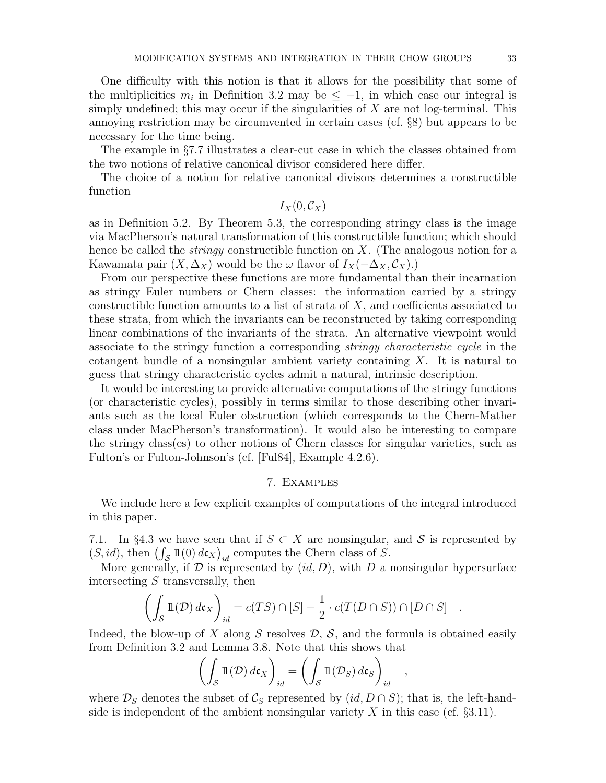One difficulty with this notion is that it allows for the possibility that some of the multiplicities  $m_i$  in Definition 3.2 may be  $\leq -1$ , in which case our integral is simply undefined; this may occur if the singularities of  $X$  are not log-terminal. This annoying restriction may be circumvented in certain cases (cf. §8) but appears to be necessary for the time being.

The example in §7.7 illustrates a clear-cut case in which the classes obtained from the two notions of relative canonical divisor considered here differ.

The choice of a notion for relative canonical divisors determines a constructible function

 $I_X(0, \mathcal{C}_X)$ 

as in Definition 5.2. By Theorem 5.3, the corresponding stringy class is the image via MacPherson's natural transformation of this constructible function; which should hence be called the *stringy* constructible function on  $X$ . (The analogous notion for a Kawamata pair  $(X, \Delta_X)$  would be the  $\omega$  flavor of  $I_X(-\Delta_X, \mathcal{C}_X)$ .

From our perspective these functions are more fundamental than their incarnation as stringy Euler numbers or Chern classes: the information carried by a stringy constructible function amounts to a list of strata of  $X$ , and coefficients associated to these strata, from which the invariants can be reconstructed by taking corresponding linear combinations of the invariants of the strata. An alternative viewpoint would associate to the stringy function a corresponding stringy characteristic cycle in the cotangent bundle of a nonsingular ambient variety containing  $X$ . It is natural to guess that stringy characteristic cycles admit a natural, intrinsic description.

It would be interesting to provide alternative computations of the stringy functions (or characteristic cycles), possibly in terms similar to those describing other invariants such as the local Euler obstruction (which corresponds to the Chern-Mather class under MacPherson's transformation). It would also be interesting to compare the stringy class(es) to other notions of Chern classes for singular varieties, such as Fulton's or Fulton-Johnson's (cf. [Ful84], Example 4.2.6).

# 7. Examples

We include here a few explicit examples of computations of the integral introduced in this paper.

7.1. In §4.3 we have seen that if  $S \subset X$  are nonsingular, and S is represented by  $(S, id)$ , then  $\left(\int_{\mathcal{S}} \mathbb{1}(0) d\mathfrak{c}_X\right)_{id}$  computes the Chern class of S.

More generally, if  $D$  is represented by  $(id, D)$ , with D a nonsingular hypersurface intersecting  $S$  transversally, then

$$
\left(\int_{S} \mathbb{1}(\mathcal{D}) d\mathfrak{c}_X\right)_{id} = c(TS) \cap [S] - \frac{1}{2} \cdot c(T(D \cap S)) \cap [D \cap S] .
$$

Indeed, the blow-up of X along S resolves  $\mathcal{D}, \mathcal{S},$  and the formula is obtained easily from Definition 3.2 and Lemma 3.8. Note that this shows that

$$
\left(\int_{\mathcal{S}} \mathbb{1}(\mathcal{D}) d\mathfrak{c}_X\right)_{id} = \left(\int_{\mathcal{S}} \mathbb{1}(\mathcal{D}_S) d\mathfrak{c}_S\right)_{id},
$$

where  $\mathcal{D}_S$  denotes the subset of  $\mathcal{C}_S$  represented by  $(id, D \cap S)$ ; that is, the left-handside is independent of the ambient nonsingular variety X in this case (cf.  $\S 3.11$ ).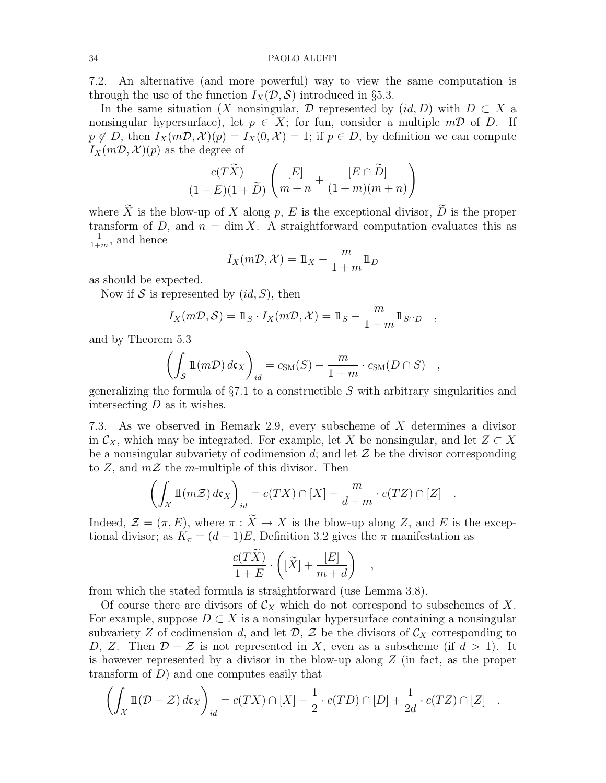#### 34 PAOLO ALUFFI

7.2. An alternative (and more powerful) way to view the same computation is through the use of the function  $I_X(\mathcal{D}, \mathcal{S})$  introduced in §5.3.

In the same situation (X nonsingular, D represented by  $(id, D)$  with  $D \subset X$  a nonsingular hypersurface), let  $p \in X$ ; for fun, consider a multiple  $m\mathcal{D}$  of D. If  $p \notin D$ , then  $I_X(m\mathcal{D}, \mathcal{X})(p) = I_X(0, \mathcal{X}) = 1$ ; if  $p \in D$ , by definition we can compute  $I_X(m\mathcal{D}, \mathcal{X})(p)$  as the degree of

$$
\frac{c(T\widetilde{X})}{(1+E)(1+\widetilde{D})}\left(\frac{[E]}{m+n}+\frac{[E\cap \widetilde{D}]}{(1+m)(m+n)}\right)
$$

where  $\widetilde{X}$  is the blow-up of X along p, E is the exceptional divisor,  $\widetilde{D}$  is the proper transform of D, and  $n = \dim X$ . A straightforward computation evaluates this as 1  $\frac{1}{1+m}$ , and hence

$$
I_X(m\mathcal{D}, \mathcal{X}) = 1\!\!1_X - \frac{m}{1+m}1\!\!1_D
$$

as should be expected.

Now if S is represented by  $(id, S)$ , then

$$
I_X(m\mathcal{D}, \mathcal{S}) = 1\!\!1_S \cdot I_X(m\mathcal{D}, \mathcal{X}) = 1\!\!1_S - \frac{m}{1+m} 1\!\!1_{S \cap D} ,
$$

and by Theorem 5.3

$$
\left(\int_{S} \mathbb{1}(m\mathcal{D}) d\mathfrak{c}_X\right)_{id} = c_{\text{SM}}(S) - \frac{m}{1+m} \cdot c_{\text{SM}}(D \cap S) \quad ,
$$

generalizing the formula of  $\S7.1$  to a constructible S with arbitrary singularities and intersecting  $D$  as it wishes.

7.3. As we observed in Remark 2.9, every subscheme of X determines a divisor in  $\mathcal{C}_X$ , which may be integrated. For example, let X be nonsingular, and let  $Z \subset X$ be a nonsingular subvariety of codimension  $d$ ; and let  $\mathcal Z$  be the divisor corresponding to Z, and  $m\mathcal{Z}$  the m-multiple of this divisor. Then

$$
\left(\int_{\mathcal{X}} \mathbb{1}(m\mathcal{Z}) d\mathfrak{c}_X\right)_{id} = c(TX) \cap [X] - \frac{m}{d+m} \cdot c(TZ) \cap [Z] .
$$

Indeed,  $\mathcal{Z} = (\pi, E)$ , where  $\pi : X \to X$  is the blow-up along Z, and E is the exceptional divisor; as  $K_{\pi} = (d-1)E$ , Definition 3.2 gives the  $\pi$  manifestation as

$$
\frac{c(T\widetilde{X})}{1+E} \cdot \left( [\widetilde{X}] + \frac{[E]}{m+d} \right)
$$

,

from which the stated formula is straightforward (use Lemma 3.8).

Of course there are divisors of  $\mathcal{C}_X$  which do not correspond to subschemes of X. For example, suppose  $D \subset X$  is a nonsingular hypersurface containing a nonsingular subvariety Z of codimension d, and let  $\mathcal{D}, \mathcal{Z}$  be the divisors of  $\mathcal{C}_X$  corresponding to D, Z. Then  $\mathcal{D} - \mathcal{Z}$  is not represented in X, even as a subscheme (if  $d > 1$ ). It is however represented by a divisor in the blow-up along Z (in fact, as the proper transform of  $D$ ) and one computes easily that

$$
\left(\int_{\mathcal{X}} \mathbb{1}(\mathcal{D} - \mathcal{Z}) d\mathfrak{c}_X\right)_{id} = c(TX) \cap [X] - \frac{1}{2} \cdot c(TD) \cap [D] + \frac{1}{2d} \cdot c(TZ) \cap [Z] .
$$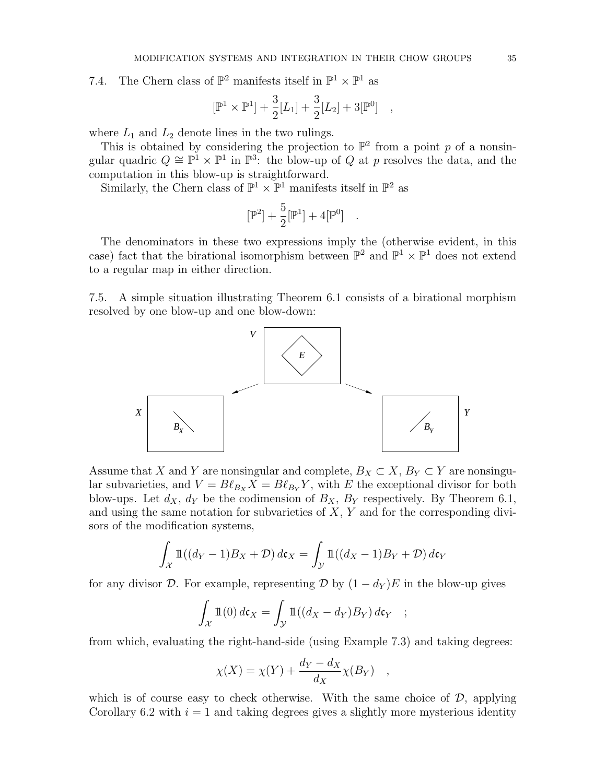7.4. The Chern class of  $\mathbb{P}^2$  manifests itself in  $\mathbb{P}^1 \times \mathbb{P}^1$  as

$$
[\mathbb{P}^1 \times \mathbb{P}^1] + \frac{3}{2}[L_1] + \frac{3}{2}[L_2] + 3[\mathbb{P}^0] ,
$$

where  $L_1$  and  $L_2$  denote lines in the two rulings.

This is obtained by considering the projection to  $\mathbb{P}^2$  from a point p of a nonsingular quadric  $Q \cong \mathbb{P}^1 \times \mathbb{P}^1$  in  $\mathbb{P}^3$ : the blow-up of Q at p resolves the data, and the computation in this blow-up is straightforward.

Similarly, the Chern class of  $\mathbb{P}^1 \times \mathbb{P}^1$  manifests itself in  $\mathbb{P}^2$  as

$$
[\mathbb{P}^2] + \frac{5}{2} [\mathbb{P}^1] + 4 [\mathbb{P}^0] .
$$

The denominators in these two expressions imply the (otherwise evident, in this case) fact that the birational isomorphism between  $\mathbb{P}^2$  and  $\mathbb{P}^1 \times \mathbb{P}^1$  does not extend to a regular map in either direction.

7.5. A simple situation illustrating Theorem 6.1 consists of a birational morphism resolved by one blow-up and one blow-down:



Assume that X and Y are nonsingular and complete,  $B_X \subset X$ ,  $B_Y \subset Y$  are nonsingular subvarieties, and  $V = B\ell_{B_X} X = B\ell_{B_Y} Y$ , with E the exceptional divisor for both blow-ups. Let  $d_X$ ,  $d_Y$  be the codimension of  $B_X$ ,  $B_Y$  respectively. By Theorem 6.1, and using the same notation for subvarieties of  $X, Y$  and for the corresponding divisors of the modification systems,

$$
\int_{\mathcal{X}} \mathbb{1}((d_Y - 1)B_X + \mathcal{D}) d\mathfrak{c}_X = \int_{\mathcal{Y}} \mathbb{1}((d_X - 1)B_Y + \mathcal{D}) d\mathfrak{c}_Y
$$

for any divisor D. For example, representing D by  $(1 - d_Y)E$  in the blow-up gives

$$
\int_{\mathcal{X}} \mathbb{1}(0) d\mathfrak{c}_X = \int_{\mathcal{Y}} \mathbb{1}((d_X - d_Y)B_Y) d\mathfrak{c}_Y ;
$$

from which, evaluating the right-hand-side (using Example 7.3) and taking degrees:

$$
\chi(X) = \chi(Y) + \frac{d_Y - d_X}{d_X} \chi(B_Y) \quad ,
$$

which is of course easy to check otherwise. With the same choice of  $\mathcal{D}$ , applying Corollary 6.2 with  $i = 1$  and taking degrees gives a slightly more mysterious identity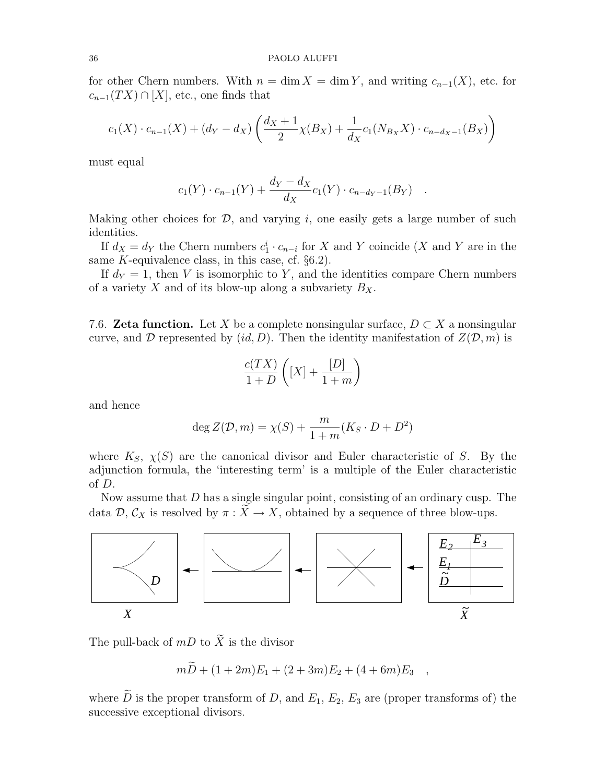for other Chern numbers. With  $n = \dim X = \dim Y$ , and writing  $c_{n-1}(X)$ , etc. for  $c_{n-1}(TX) \cap [X]$ , etc., one finds that

$$
c_1(X) \cdot c_{n-1}(X) + (d_Y - d_X) \left( \frac{d_X + 1}{2} \chi(B_X) + \frac{1}{d_X} c_1(N_{B_X} X) \cdot c_{n-d_X - 1}(B_X) \right)
$$

must equal

$$
c_1(Y) \cdot c_{n-1}(Y) + \frac{d_Y - d_X}{d_X} c_1(Y) \cdot c_{n-d_Y-1}(B_Y) .
$$

Making other choices for  $\mathcal{D}$ , and varying i, one easily gets a large number of such identities.

If  $d_X = d_Y$  the Chern numbers  $c_1^i \cdot c_{n-i}$  for X and Y coincide (X and Y are in the same  $K$ -equivalence class, in this case, cf.  $\S6.2$ ).

If  $d_Y = 1$ , then V is isomorphic to Y, and the identities compare Chern numbers of a variety X and of its blow-up along a subvariety  $B_X$ .

7.6. **Zeta function.** Let X be a complete nonsingular surface,  $D \subset X$  a nonsingular curve, and D represented by  $(id, D)$ . Then the identity manifestation of  $Z(\mathcal{D}, m)$  is

$$
\frac{c(TX)}{1+D}\left([X] + \frac{[D]}{1+m}\right)
$$

and hence

$$
\deg Z(\mathcal{D}, m) = \chi(S) + \frac{m}{1+m}(K_S \cdot D + D^2)
$$

where  $K_S$ ,  $\chi(S)$  are the canonical divisor and Euler characteristic of S. By the adjunction formula, the 'interesting term' is a multiple of the Euler characteristic of D.

Now assume that  $D$  has a single singular point, consisting of an ordinary cusp. The data  $\mathcal{D}, \mathcal{C}_X$  is resolved by  $\pi : \widetilde{X} \to X$ , obtained by a sequence of three blow-ups.



The pull-back of  $mD$  to  $\widetilde{X}$  is the divisor

 $m\widetilde{D} + (1+2m)E_1 + (2+3m)E_2 + (4+6m)E_3$ 

where  $\tilde{D}$  is the proper transform of D, and  $E_1, E_2, E_3$  are (proper transforms of) the successive exceptional divisors.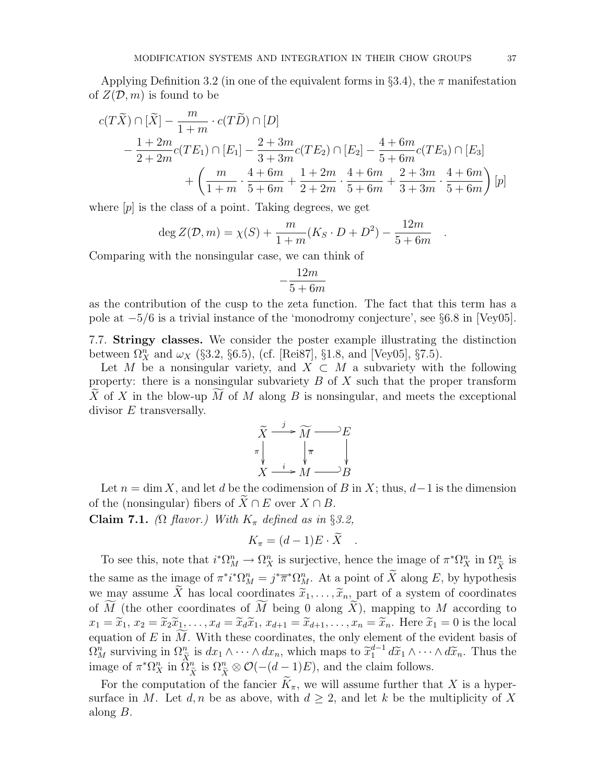Applying Definition 3.2 (in one of the equivalent forms in §3.4), the  $\pi$  manifestation of  $Z(\mathcal{D}, m)$  is found to be

$$
c(T\widetilde{X}) \cap [\widetilde{X}] - \frac{m}{1+m} \cdot c(T\widetilde{D}) \cap [D]
$$
  
 
$$
- \frac{1+2m}{2+2m}c(TE_1) \cap [E_1] - \frac{2+3m}{3+3m}c(TE_2) \cap [E_2] - \frac{4+6m}{5+6m}c(TE_3) \cap [E_3]
$$
  
 
$$
+ \left(\frac{m}{1+m} \cdot \frac{4+6m}{5+6m} + \frac{1+2m}{2+2m} \cdot \frac{4+6m}{5+6m} + \frac{2+3m}{3+3m} \cdot \frac{4+6m}{5+6m}\right)[p]
$$

where  $[p]$  is the class of a point. Taking degrees, we get

$$
\deg Z(\mathcal{D}, m) = \chi(S) + \frac{m}{1+m}(K_S \cdot D + D^2) - \frac{12m}{5+6m}
$$

Comparing with the nonsingular case, we can think of

$$
-\frac{12m}{5+6m}
$$

as the contribution of the cusp to the zeta function. The fact that this term has a pole at −5/6 is a trivial instance of the 'monodromy conjecture', see §6.8 in [Vey05].

7.7. Stringy classes. We consider the poster example illustrating the distinction between  $\Omega_X^n$  and  $\omega_X$  (§3.2, §6.5), (cf. [Rei87], §1.8, and [Vey05], §7.5).

Let M be a nonsingular variety, and  $X \subset M$  a subvariety with the following property: there is a nonsingular subvariety  $B$  of  $X$  such that the proper transform X of X in the blow-up M of M along B is nonsingular, and meets the exceptional divisor  $E$  transversally.

$$
\widetilde{X} \xrightarrow{j} \widetilde{M} \xrightarrow{E} E
$$
\n
$$
\pi \downarrow \qquad \qquad \pi \downarrow
$$
\n
$$
X \xrightarrow{i} M \xrightarrow{B} B
$$

Let  $n = \dim X$ , and let d be the codimension of B in X; thus,  $d-1$  is the dimension of the (nonsingular) fibers of  $X \cap E$  over  $X \cap B$ .

Claim 7.1. ( $\Omega$  flavor.) With  $K_{\pi}$  defined as in §3.2,

$$
K_{\pi} = (d-1)E \cdot \widetilde{X} .
$$

To see this, note that  $i^*\Omega^n_M \to \Omega^n_X$  is surjective, hence the image of  $\pi^*\Omega^n_X$  in  $\Omega^n_{\tilde{X}}$  is  $\boldsymbol{X}$ the same as the image of  $\pi^* i^* \Omega_M^n = j^* \overline{\pi}^* \Omega_M^n$ . At a point of  $\widetilde{X}$  along E, by hypothesis we may assume X has local coordinates  $\tilde{x}_1, \ldots, \tilde{x}_n$ , part of a system of coordinates of M (the other coordinates of M being 0 along  $\tilde{X}$ ), mapping to M according to  $x_1 = \tilde{x}_1, x_2 = \tilde{x}_2\tilde{x}_1, \ldots, x_d = \tilde{x}_d\tilde{x}_1, x_{d+1} = \tilde{x}_{d+1}, \ldots, x_n = \tilde{x}_n$ . Here  $\tilde{x}_1 = 0$  is the local equation of E in  $\widetilde{M}$ . With these coordinates, the only element of the evident basis of  $\Omega_M^n$  surviving in  $\Omega_{\tilde{X}}^n$  is  $dx_1 \wedge \cdots \wedge dx_n$ , which maps to  $\tilde{x}_1^{d-1} d\tilde{x}_1 \wedge \cdots \wedge d\tilde{x}_n$ . Thus the improperties  $\Omega_n^{n+1} \Omega_n^{n+1}$  is  $\Omega_n^{n+1} \otimes \Omega_n^{n+1}$  and the claim follows image of  $\pi^*\Omega^n_X$  in  $\widehat{\Omega}^n_{\widetilde{X}}$ is  $\Omega_{\tilde{X}}^n \otimes \mathcal{O}(-(d-1)E)$ , and the claim follows.

For the computation of the fancier  $K_{\pi}$ , we will assume further that X is a hypersurface in M. Let  $d, n$  be as above, with  $d \geq 2$ , and let k be the multiplicity of X along B.

.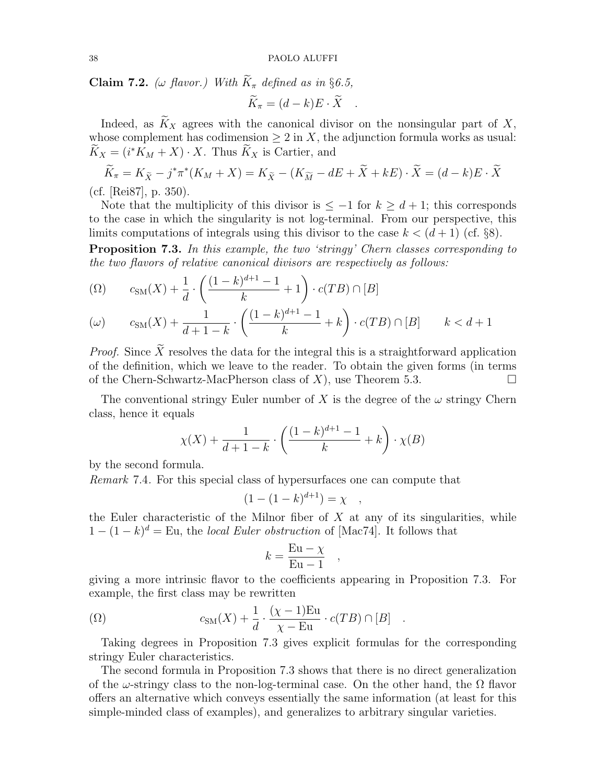**Claim 7.2.** ( $\omega$  flavor.) With  $\widetilde{K}_{\pi}$  defined as in §6.5,  $\widetilde{K}_{\pi} = (d-k)E \cdot \widetilde{X}$ .

Indeed, as  $\widetilde{K}_X$  agrees with the canonical divisor on the nonsingular part of X, whose complement has codimension  $\geq 2$  in X, the adjunction formula works as usual:  $\widetilde{K}_X = (i^*K_M + X) \cdot X$ . Thus  $\widetilde{K}_X$  is Cartier, and

$$
\widetilde{K}_{\pi} = K_{\widetilde{X}} - j^* \pi^* (K_M + X) = K_{\widetilde{X}} - (K_{\widetilde{M}} - dE + \widetilde{X} + kE) \cdot \widetilde{X} = (d - k)E \cdot \widetilde{X}
$$

(cf. [Rei87], p. 350).

Note that the multiplicity of this divisor is  $\leq -1$  for  $k \geq d+1$ ; this corresponds to the case in which the singularity is not log-terminal. From our perspective, this limits computations of integrals using this divisor to the case  $k < (d+1)$  (cf. §8).

**Proposition 7.3.** In this example, the two 'stringy' Chern classes corresponding to the two flavors of relative canonical divisors are respectively as follows:

$$
\text{(}\Omega\text{)} \qquad c_{\text{SM}}(X) + \frac{1}{d} \cdot \left( \frac{(1-k)^{d+1} - 1}{k} + 1 \right) \cdot c(TB) \cap [B]
$$

$$
(\omega) \qquad c_{\text{SM}}(X) + \frac{1}{d+1-k} \cdot \left( \frac{(1-k)^{d+1}-1}{k} + k \right) \cdot c(TB) \cap [B] \qquad k < d+1
$$

*Proof.* Since  $\widetilde{X}$  resolves the data for the integral this is a straightforward application of the definition, which we leave to the reader. To obtain the given forms (in terms of the Chern-Schwartz-MacPherson class of  $X$ ), use Theorem 5.3.

The conventional stringy Euler number of X is the degree of the  $\omega$  stringy Chern class, hence it equals

$$
\chi(X) + \frac{1}{d+1-k} \cdot \left(\frac{(1-k)^{d+1}-1}{k} + k\right) \cdot \chi(B)
$$

by the second formula.

Remark 7.4. For this special class of hypersurfaces one can compute that

$$
(1 - (1 - k)^{d+1}) = \chi ,
$$

the Euler characteristic of the Milnor fiber of  $X$  at any of its singularities, while  $1 - (1 - k)^d =$  Eu, the *local Euler obstruction* of [Mac74]. It follows that

$$
k = \frac{\mathrm{Eu} - \chi}{\mathrm{Eu} - 1} \quad ,
$$

giving a more intrinsic flavor to the coefficients appearing in Proposition 7.3. For example, the first class may be rewritten

$$
( \Omega ) \qquad \qquad c_{\text{SM}}(X) + \frac{1}{d} \cdot \frac{(\chi - 1) \text{Eu}}{\chi - \text{Eu}} \cdot c(TB) \cap [B] \quad .
$$

Taking degrees in Proposition 7.3 gives explicit formulas for the corresponding stringy Euler characteristics.

The second formula in Proposition 7.3 shows that there is no direct generalization of the  $\omega$ -stringy class to the non-log-terminal case. On the other hand, the  $\Omega$  flavor offers an alternative which conveys essentially the same information (at least for this simple-minded class of examples), and generalizes to arbitrary singular varieties.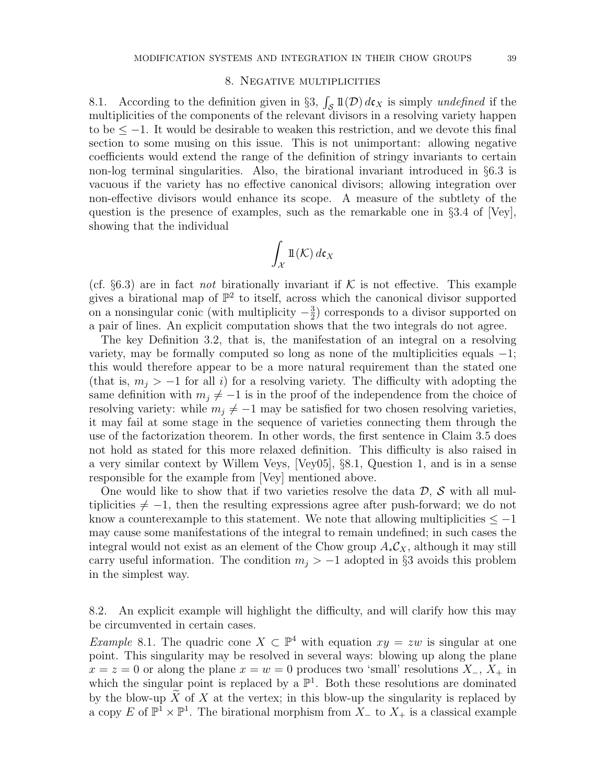### 8. Negative multiplicities

8.1. According to the definition given in §3,  $\int_{\mathcal{S}} 1\mathcal{D} \, d\mathbf{c}_X$  is simply undefined if the multiplicities of the components of the relevant divisors in a resolving variety happen to be  $\leq -1$ . It would be desirable to weaken this restriction, and we devote this final section to some musing on this issue. This is not unimportant: allowing negative coefficients would extend the range of the definition of stringy invariants to certain non-log terminal singularities. Also, the birational invariant introduced in §6.3 is vacuous if the variety has no effective canonical divisors; allowing integration over non-effective divisors would enhance its scope. A measure of the subtlety of the question is the presence of examples, such as the remarkable one in §3.4 of [Vey], showing that the individual

$$
\int_{\mathcal{X}} \mathbb{1}(\mathcal{K}) \, d\mathfrak{c}_X
$$

(cf.  $\S6.3$ ) are in fact *not* birationally invariant if K is not effective. This example gives a birational map of  $\mathbb{P}^2$  to itself, across which the canonical divisor supported on a nonsingular conic (with multiplicity  $-\frac{3}{2}$  $\frac{3}{2}$ ) corresponds to a divisor supported on a pair of lines. An explicit computation shows that the two integrals do not agree.

The key Definition 3.2, that is, the manifestation of an integral on a resolving variety, may be formally computed so long as none of the multiplicities equals  $-1$ ; this would therefore appear to be a more natural requirement than the stated one (that is,  $m_i > -1$  for all i) for a resolving variety. The difficulty with adopting the same definition with  $m_j \neq -1$  is in the proof of the independence from the choice of resolving variety: while  $m_j \neq -1$  may be satisfied for two chosen resolving varieties, it may fail at some stage in the sequence of varieties connecting them through the use of the factorization theorem. In other words, the first sentence in Claim 3.5 does not hold as stated for this more relaxed definition. This difficulty is also raised in a very similar context by Willem Veys, [Vey05], §8.1, Question 1, and is in a sense responsible for the example from [Vey] mentioned above.

One would like to show that if two varieties resolve the data  $\mathcal{D}, \mathcal{S}$  with all multiplicities  $\neq -1$ , then the resulting expressions agree after push-forward; we do not know a counterexample to this statement. We note that allowing multiplicities  $\leq -1$ may cause some manifestations of the integral to remain undefined; in such cases the integral would not exist as an element of the Chow group  $A_*\mathcal{C}_X$ , although it may still carry useful information. The condition  $m_j > -1$  adopted in §3 avoids this problem in the simplest way.

8.2. An explicit example will highlight the difficulty, and will clarify how this may be circumvented in certain cases.

Example 8.1. The quadric cone  $X \subset \mathbb{P}^4$  with equation  $xy = zw$  is singular at one point. This singularity may be resolved in several ways: blowing up along the plane  $x = z = 0$  or along the plane  $x = w = 0$  produces two 'small' resolutions  $X_-, X_+$  in which the singular point is replaced by a  $\mathbb{P}^1$ . Both these resolutions are dominated by the blow-up  $X$  of  $X$  at the vertex; in this blow-up the singularity is replaced by a copy E of  $\mathbb{P}^1 \times \mathbb{P}^1$ . The birational morphism from  $X_{-}$  to  $X_{+}$  is a classical example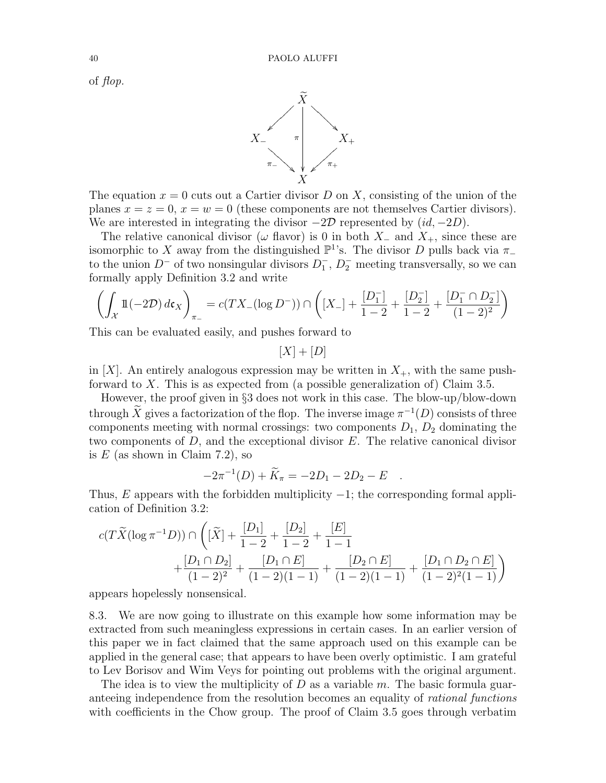of flop.



The equation  $x = 0$  cuts out a Cartier divisor D on X, consisting of the union of the planes  $x = z = 0$ ,  $x = w = 0$  (these components are not themselves Cartier divisors). We are interested in integrating the divisor  $-2\mathcal{D}$  represented by  $(id, -2D)$ .

The relative canonical divisor ( $\omega$  flavor) is 0 in both  $X_-\,$  and  $X_+\,$ , since these are isomorphic to X away from the distinguished  $\mathbb{P}^1$ 's. The divisor D pulls back via  $\pi_-\$ to the union  $D^-$  of two nonsingular divisors  $D_1^ \overline{1}$ ,  $D_2^-$  meeting transversally, so we can formally apply Definition 3.2 and write

$$
\left(\int_{\mathcal{X}} \mathbb{1}(-2\mathcal{D}) d\mathfrak{c}_X\right)_{\pi_-} = c(TX_{-}(\log D^{-})) \cap \left([X_{-}]+\frac{[D_1^-]}{1-2}+\frac{[D_2^-]}{1-2}+\frac{[D_1^- \cap D_2^-]}{(1-2)^2}\right)
$$

This can be evaluated easily, and pushes forward to

 $[X] + [D]$ 

in  $[X]$ . An entirely analogous expression may be written in  $X_{+}$ , with the same pushforward to  $X$ . This is as expected from (a possible generalization of) Claim 3.5.

However, the proof given in §3 does not work in this case. The blow-up/blow-down through  $\widetilde{X}$  gives a factorization of the flop. The inverse image  $\pi^{-1}(D)$  consists of three components meeting with normal crossings: two components  $D_1$ ,  $D_2$  dominating the two components of  $D$ , and the exceptional divisor  $E$ . The relative canonical divisor is  $E$  (as shown in Claim 7.2), so

$$
-2\pi^{-1}(D) + \widetilde{K}_{\pi} = -2D_1 - 2D_2 - E \quad .
$$

Thus, E appears with the forbidden multiplicity  $-1$ ; the corresponding formal application of Definition 3.2:

$$
c(T\widetilde{X}(\log \pi^{-1}D)) \cap \left( [\widetilde{X}] + \frac{[D_1]}{1-2} + \frac{[D_2]}{1-2} + \frac{[E]}{1-1} + \frac{[D_1 \cap D_2]}{(1-2)^2} + \frac{[D_1 \cap E]}{(1-2)(1-1)} + \frac{[D_2 \cap E]}{(1-2)(1-1)} + \frac{[D_1 \cap D_2 \cap E]}{(1-2)^2(1-1)} \right)
$$

appears hopelessly nonsensical.

8.3. We are now going to illustrate on this example how some information may be extracted from such meaningless expressions in certain cases. In an earlier version of this paper we in fact claimed that the same approach used on this example can be applied in the general case; that appears to have been overly optimistic. I am grateful to Lev Borisov and Wim Veys for pointing out problems with the original argument.

The idea is to view the multiplicity of  $D$  as a variable  $m$ . The basic formula guaranteeing independence from the resolution becomes an equality of rational functions with coefficients in the Chow group. The proof of Claim 3.5 goes through verbatim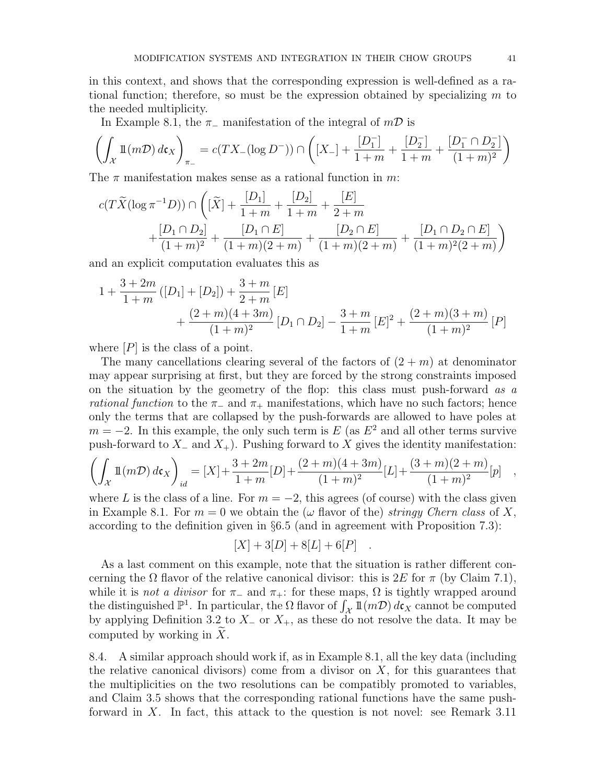in this context, and shows that the corresponding expression is well-defined as a rational function; therefore, so must be the expression obtained by specializing  $m$  to the needed multiplicity.

In Example 8.1, the  $\pi$ - manifestation of the integral of  $m\mathcal{D}$  is

$$
\left(\int_{\mathcal{X}}1\!\!1(m\mathcal{D})\,d\mathfrak{c}_X\right)_{\pi_-}=c(TX_- (\log D^-))\cap \left([X_-]+\frac{[D_1^-]}{1+m}+\frac{[D_2^-]}{1+m}+\frac{[D_1^-\cap D_2^-]}{(1+m)^2}\right)
$$

The  $\pi$  manifestation makes sense as a rational function in m:

$$
c(T\widetilde{X}(\log \pi^{-1}D)) \cap \left( [\widetilde{X}] + \frac{[D_1]}{1+m} + \frac{[D_2]}{1+m} + \frac{[E]}{2+m} + \frac{[D_1 \cap D_2]}{(1+m)^2} + \frac{[D_1 \cap E]}{(1+m)(2+m)} + \frac{[D_2 \cap E]}{(1+m)(2+m)} + \frac{[D_1 \cap D_2 \cap E]}{(1+m)^2(2+m)} \right)
$$

and an explicit computation evaluates this as

$$
1 + \frac{3+2m}{1+m} ([D_1] + [D_2]) + \frac{3+m}{2+m} [E] + \frac{(2+m)(4+3m)}{(1+m)^2} [D_1 \cap D_2] - \frac{3+m}{1+m} [E]^2 + \frac{(2+m)(3+m)}{(1+m)^2} [P]
$$

where  $[P]$  is the class of a point.

The many cancellations clearing several of the factors of  $(2 + m)$  at denominator may appear surprising at first, but they are forced by the strong constraints imposed on the situation by the geometry of the flop: this class must push-forward as a rational function to the  $\pi_-\$  and  $\pi_+\$  manifestations, which have no such factors; hence only the terms that are collapsed by the push-forwards are allowed to have poles at  $m = -2$ . In this example, the only such term is E (as  $E^2$  and all other terms survive push-forward to  $X_-\text{ and }X_+$ ). Pushing forward to X gives the identity manifestation:

$$
\left(\int_{\mathcal{X}} \mathbb{1}(m\mathcal{D}) d\mathfrak{c}_X\right)_{id} = [X] + \frac{3+2m}{1+m} [D] + \frac{(2+m)(4+3m)}{(1+m)^2} [L] + \frac{(3+m)(2+m)}{(1+m)^2} [p] \quad ,
$$

where L is the class of a line. For  $m = -2$ , this agrees (of course) with the class given in Example 8.1. For  $m = 0$  we obtain the ( $\omega$  flavor of the) stringy Chern class of X, according to the definition given in §6.5 (and in agreement with Proposition 7.3):

$$
[X] + 3[D] + 8[L] + 6[P] .
$$

As a last comment on this example, note that the situation is rather different concerning the  $\Omega$  flavor of the relative canonical divisor: this is  $2E$  for  $\pi$  (by Claim 7.1), while it is *not a divisor* for  $\pi_-\$  and  $\pi_+$ : for these maps,  $\Omega$  is tightly wrapped around the distinguished  $\mathbb{P}^1$ . In particular, the  $\Omega$  flavor of  $\int_{\mathcal{X}} 1\mathbb{I}(m\mathcal{D}) d\mathfrak{c}_X$  cannot be computed by applying Definition 3.2 to  $X_-\text{ or } X_+$ , as these do not resolve the data. It may be computed by working in  $X$ .

8.4. A similar approach should work if, as in Example 8.1, all the key data (including the relative canonical divisors) come from a divisor on  $X$ , for this guarantees that the multiplicities on the two resolutions can be compatibly promoted to variables, and Claim 3.5 shows that the corresponding rational functions have the same pushforward in X. In fact, this attack to the question is not novel: see Remark 3.11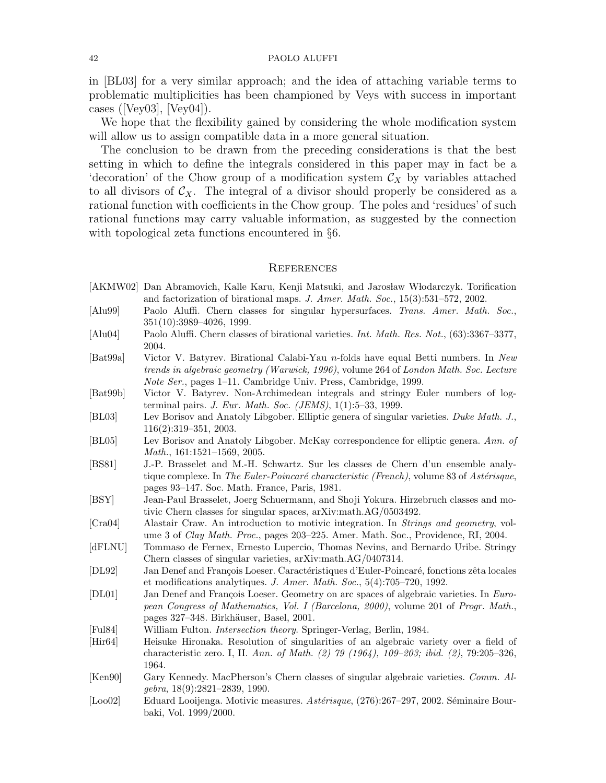in [BL03] for a very similar approach; and the idea of attaching variable terms to problematic multiplicities has been championed by Veys with success in important cases ([Vey03], [Vey04]).

We hope that the flexibility gained by considering the whole modification system will allow us to assign compatible data in a more general situation.

The conclusion to be drawn from the preceding considerations is that the best setting in which to define the integrals considered in this paper may in fact be a 'decoration' of the Chow group of a modification system  $\mathcal{C}_X$  by variables attached to all divisors of  $\mathcal{C}_X$ . The integral of a divisor should properly be considered as a rational function with coefficients in the Chow group. The poles and 'residues' of such rational functions may carry valuable information, as suggested by the connection with topological zeta functions encountered in §6.

#### **REFERENCES**

- [AKMW02] Dan Abramovich, Kalle Karu, Kenji Matsuki, and Jarosław Włodarczyk. Torification and factorization of birational maps. J. Amer. Math. Soc., 15(3):531–572, 2002.
- [Alu99] Paolo Aluffi. Chern classes for singular hypersurfaces. Trans. Amer. Math. Soc., 351(10):3989–4026, 1999.
- [Alu04] Paolo Aluffi. Chern classes of birational varieties. Int. Math. Res. Not., (63):3367–3377, 2004.
- [Bat99a] Victor V. Batyrev. Birational Calabi-Yau n-folds have equal Betti numbers. In New trends in algebraic geometry (Warwick, 1996), volume 264 of London Math. Soc. Lecture Note Ser., pages 1–11. Cambridge Univ. Press, Cambridge, 1999.
- [Bat99b] Victor V. Batyrev. Non-Archimedean integrals and stringy Euler numbers of logterminal pairs. J. Eur. Math. Soc. (JEMS), 1(1):5–33, 1999.
- [BL03] Lev Borisov and Anatoly Libgober. Elliptic genera of singular varieties. Duke Math. J., 116(2):319–351, 2003.
- [BL05] Lev Borisov and Anatoly Libgober. McKay correspondence for elliptic genera. Ann. of Math., 161:1521–1569, 2005.
- [BS81] J.-P. Brasselet and M.-H. Schwartz. Sur les classes de Chern d'un ensemble analytique complexe. In The Euler-Poincaré characteristic (French), volume 83 of Astérisque, pages 93–147. Soc. Math. France, Paris, 1981.
- [BSY] Jean-Paul Brasselet, Joerg Schuermann, and Shoji Yokura. Hirzebruch classes and motivic Chern classes for singular spaces, arXiv:math.AG/0503492.
- [Cra04] Alastair Craw. An introduction to motivic integration. In Strings and geometry, volume 3 of Clay Math. Proc., pages 203–225. Amer. Math. Soc., Providence, RI, 2004.
- [dFLNU] Tommaso de Fernex, Ernesto Lupercio, Thomas Nevins, and Bernardo Uribe. Stringy Chern classes of singular varieties, arXiv:math.AG/0407314.
- [DL92] Jan Denef and François Loeser. Caractéristiques d'Euler-Poincaré, fonctions zêta locales et modifications analytiques. J. Amer. Math. Soc., 5(4):705–720, 1992.
- [DL01] Jan Denef and François Loeser. Geometry on arc spaces of algebraic varieties. In European Congress of Mathematics, Vol. I (Barcelona, 2000), volume 201 of Progr. Math., pages 327–348. Birkhäuser, Basel, 2001.
- [Ful84] William Fulton. Intersection theory. Springer-Verlag, Berlin, 1984.
- [Hir64] Heisuke Hironaka. Resolution of singularities of an algebraic variety over a field of characteristic zero. I, II. Ann. of Math. (2) 79 (1964), 109–203; ibid. (2), 79:205–326, 1964.
- [Ken90] Gary Kennedy. MacPherson's Chern classes of singular algebraic varieties. Comm. Algebra, 18(9):2821–2839, 1990.
- [Loo02] Eduard Looijenga. Motivic measures. Astérisque, (276):267–297, 2002. Séminaire Bourbaki, Vol. 1999/2000.